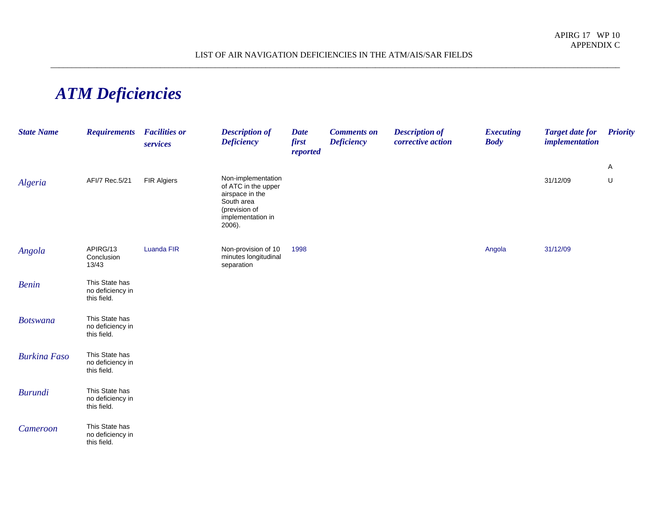## *ATM Deficiencies*

| <b>State Name</b>   | <b>Requirements</b>                               | <b>Facilities or</b><br>services | <b>Description of</b><br><b>Deficiency</b>                                                                                 | <b>Date</b><br>first<br>reported | <b>Comments on</b><br><b>Deficiency</b> | <b>Description of</b><br>corrective action | <b>Executing</b><br><b>Body</b> | <b>Target date for</b><br><i>implementation</i> | <b>Priority</b> |
|---------------------|---------------------------------------------------|----------------------------------|----------------------------------------------------------------------------------------------------------------------------|----------------------------------|-----------------------------------------|--------------------------------------------|---------------------------------|-------------------------------------------------|-----------------|
|                     |                                                   |                                  |                                                                                                                            |                                  |                                         |                                            |                                 |                                                 | A               |
| Algeria             | AFI/7 Rec.5/21                                    | <b>FIR Algiers</b>               | Non-implementation<br>of ATC in the upper<br>airspace in the<br>South area<br>(prevision of<br>implementation in<br>2006). |                                  |                                         |                                            |                                 | 31/12/09                                        | U               |
| Angola              | APIRG/13<br>Conclusion<br>13/43                   | <b>Luanda FIR</b>                | Non-provision of 10<br>minutes longitudinal<br>separation                                                                  | 1998                             |                                         |                                            | Angola                          | 31/12/09                                        |                 |
| <b>Benin</b>        | This State has<br>no deficiency in<br>this field. |                                  |                                                                                                                            |                                  |                                         |                                            |                                 |                                                 |                 |
| <b>Botswana</b>     | This State has<br>no deficiency in<br>this field. |                                  |                                                                                                                            |                                  |                                         |                                            |                                 |                                                 |                 |
| <b>Burkina Faso</b> | This State has<br>no deficiency in<br>this field. |                                  |                                                                                                                            |                                  |                                         |                                            |                                 |                                                 |                 |
| <b>Burundi</b>      | This State has<br>no deficiency in<br>this field. |                                  |                                                                                                                            |                                  |                                         |                                            |                                 |                                                 |                 |
| Cameroon            | This State has<br>no deficiency in<br>this field. |                                  |                                                                                                                            |                                  |                                         |                                            |                                 |                                                 |                 |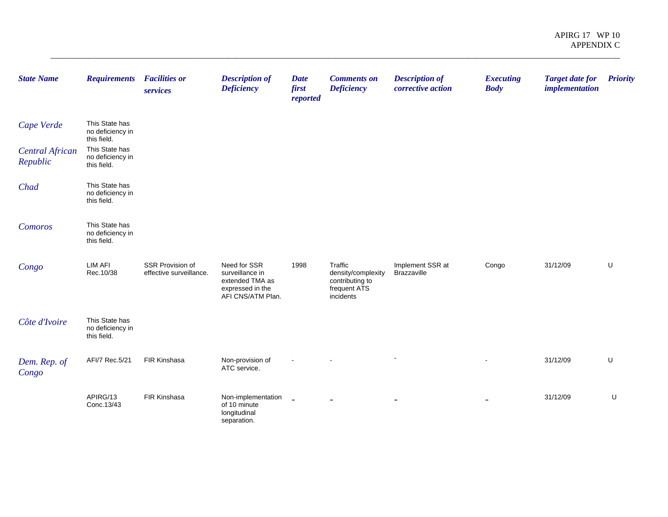| <b>State Name</b>                  | <b>Requirements</b>                               | <b>Facilities or</b><br>services            | <b>Description of</b><br><b>Deficiency</b>                                                  | <b>Date</b><br>first<br>reported | <b>Comments on</b><br><b>Deficiency</b>                                       | <b>Description of</b><br>corrective action | <b>Executing</b><br><b>Body</b> | <b>Target date for</b><br><i>implementation</i> | <b>Priority</b> |
|------------------------------------|---------------------------------------------------|---------------------------------------------|---------------------------------------------------------------------------------------------|----------------------------------|-------------------------------------------------------------------------------|--------------------------------------------|---------------------------------|-------------------------------------------------|-----------------|
| Cape Verde                         | This State has<br>no deficiency in<br>this field. |                                             |                                                                                             |                                  |                                                                               |                                            |                                 |                                                 |                 |
| <b>Central African</b><br>Republic | This State has<br>no deficiency in<br>this field. |                                             |                                                                                             |                                  |                                                                               |                                            |                                 |                                                 |                 |
| Chad                               | This State has<br>no deficiency in<br>this field. |                                             |                                                                                             |                                  |                                                                               |                                            |                                 |                                                 |                 |
| Comoros                            | This State has<br>no deficiency in<br>this field. |                                             |                                                                                             |                                  |                                                                               |                                            |                                 |                                                 |                 |
| Congo                              | <b>LIM AFI</b><br>Rec.10/38                       | SSR Provision of<br>effective surveillance. | Need for SSR<br>surveillance in<br>extended TMA as<br>expressed in the<br>AFI CNS/ATM Plan. | 1998                             | Traffic<br>density/complexity<br>contributing to<br>frequent ATS<br>incidents | Implement SSR at<br>Brazzaville            | Congo                           | 31/12/09                                        | U               |
| Côte d'Ivoire                      | This State has<br>no deficiency in<br>this field. |                                             |                                                                                             |                                  |                                                                               |                                            |                                 |                                                 |                 |
| Dem. Rep. of<br>Congo              | AFI/7 Rec.5/21                                    | FIR Kinshasa                                | Non-provision of<br>ATC service.                                                            |                                  |                                                                               |                                            |                                 | 31/12/09                                        | U               |
|                                    | APIRG/13<br>Conc.13/43                            | FIR Kinshasa                                | Non-implementation<br>of 10 minute<br>longitudinal<br>separation.                           | $\mathbf{r}$                     |                                                                               |                                            |                                 | 31/12/09                                        | U               |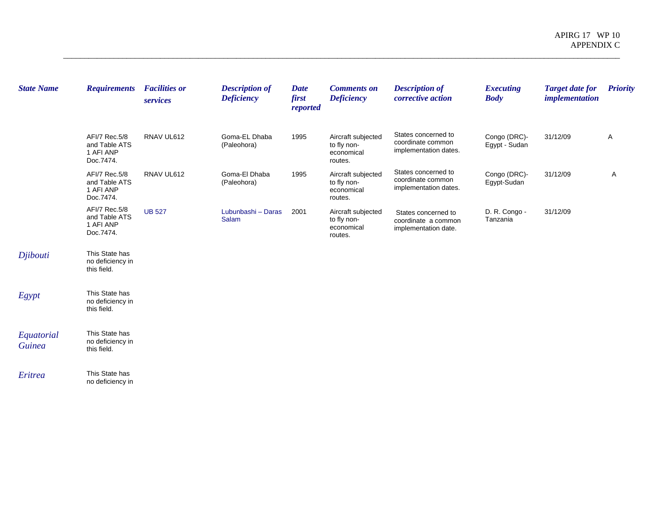| <b>State Name</b>           | <b>Requirements</b>                                      | <b>Facilities or</b><br>services | <b>Description of</b><br><b>Deficiency</b> | Date<br>first<br>reported | <b>Comments on</b><br><b>Deficiency</b>                    | <b>Description of</b><br>corrective action                         | <b>Executing</b><br><b>Body</b> | <b>Target date for</b><br><i>implementation</i> | <b>Priority</b> |
|-----------------------------|----------------------------------------------------------|----------------------------------|--------------------------------------------|---------------------------|------------------------------------------------------------|--------------------------------------------------------------------|---------------------------------|-------------------------------------------------|-----------------|
|                             | AFI/7 Rec.5/8<br>and Table ATS<br>1 AFI ANP<br>Doc.7474. | RNAV UL612                       | Goma-EL Dhaba<br>(Paleohora)               | 1995                      | Aircraft subjected<br>to fly non-<br>economical<br>routes. | States concerned to<br>coordinate common<br>implementation dates.  | Congo (DRC)-<br>Egypt - Sudan   | 31/12/09                                        | A               |
|                             | AFI/7 Rec.5/8<br>and Table ATS<br>1 AFI ANP<br>Doc.7474. | RNAV UL612                       | Goma-El Dhaba<br>(Paleohora)               | 1995                      | Aircraft subjected<br>to fly non-<br>economical<br>routes. | States concerned to<br>coordinate common<br>implementation dates.  | Congo (DRC)-<br>Egypt-Sudan     | 31/12/09                                        | Α               |
|                             | AFI/7 Rec.5/8<br>and Table ATS<br>1 AFI ANP<br>Doc.7474. | <b>UB 527</b>                    | Lubunbashi - Daras<br>Salam                | 2001                      | Aircraft subjected<br>to fly non-<br>economical<br>routes. | States concerned to<br>coordinate a common<br>implementation date. | D. R. Congo -<br>Tanzania       | 31/12/09                                        |                 |
| Djibouti                    | This State has<br>no deficiency in<br>this field.        |                                  |                                            |                           |                                                            |                                                                    |                                 |                                                 |                 |
| Egypt                       | This State has<br>no deficiency in<br>this field.        |                                  |                                            |                           |                                                            |                                                                    |                                 |                                                 |                 |
| Equatorial<br><b>Guinea</b> | This State has<br>no deficiency in<br>this field.        |                                  |                                            |                           |                                                            |                                                                    |                                 |                                                 |                 |
| Eritrea                     | This State has<br>no deficiency in                       |                                  |                                            |                           |                                                            |                                                                    |                                 |                                                 |                 |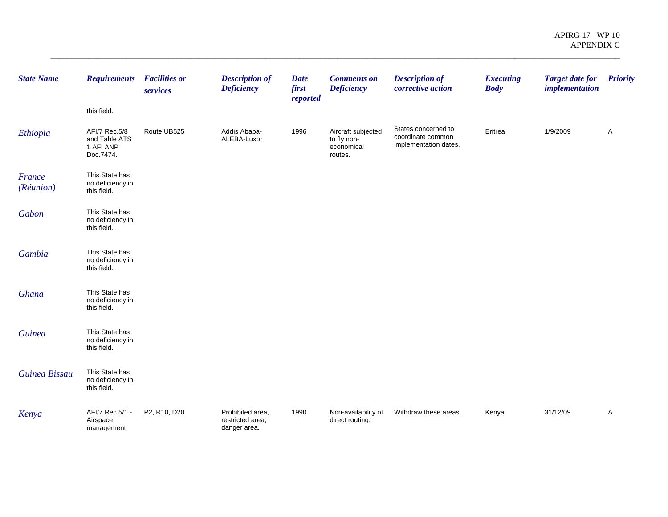| <b>State Name</b>   | <b>Requirements</b>                                      | <b>Facilities or</b><br>services | <b>Description of</b><br><b>Deficiency</b>           | <b>Date</b><br>first<br>reported | <b>Comments on</b><br><b>Deficiency</b>                    | <b>Description of</b><br>corrective action                        | <b>Executing</b><br><b>Body</b> | <b>Target date for</b><br><i>implementation</i> | <b>Priority</b> |
|---------------------|----------------------------------------------------------|----------------------------------|------------------------------------------------------|----------------------------------|------------------------------------------------------------|-------------------------------------------------------------------|---------------------------------|-------------------------------------------------|-----------------|
|                     | this field.                                              |                                  |                                                      |                                  |                                                            |                                                                   |                                 |                                                 |                 |
| Ethiopia            | AFI/7 Rec.5/8<br>and Table ATS<br>1 AFI ANP<br>Doc.7474. | Route UB525                      | Addis Ababa-<br>ALEBA-Luxor                          | 1996                             | Aircraft subjected<br>to fly non-<br>economical<br>routes. | States concerned to<br>coordinate common<br>implementation dates. | Eritrea                         | 1/9/2009                                        | A               |
| France<br>(Réunion) | This State has<br>no deficiency in<br>this field.        |                                  |                                                      |                                  |                                                            |                                                                   |                                 |                                                 |                 |
| Gabon               | This State has<br>no deficiency in<br>this field.        |                                  |                                                      |                                  |                                                            |                                                                   |                                 |                                                 |                 |
| Gambia              | This State has<br>no deficiency in<br>this field.        |                                  |                                                      |                                  |                                                            |                                                                   |                                 |                                                 |                 |
| Ghana               | This State has<br>no deficiency in<br>this field.        |                                  |                                                      |                                  |                                                            |                                                                   |                                 |                                                 |                 |
| <b>Guinea</b>       | This State has<br>no deficiency in<br>this field.        |                                  |                                                      |                                  |                                                            |                                                                   |                                 |                                                 |                 |
| Guinea Bissau       | This State has<br>no deficiency in<br>this field.        |                                  |                                                      |                                  |                                                            |                                                                   |                                 |                                                 |                 |
| Kenya               | AFI/7 Rec.5/1 -<br>Airspace<br>management                | P2, R10, D20                     | Prohibited area,<br>restricted area,<br>danger area. | 1990                             | Non-availability of<br>direct routing.                     | Withdraw these areas.                                             | Kenya                           | 31/12/09                                        | A               |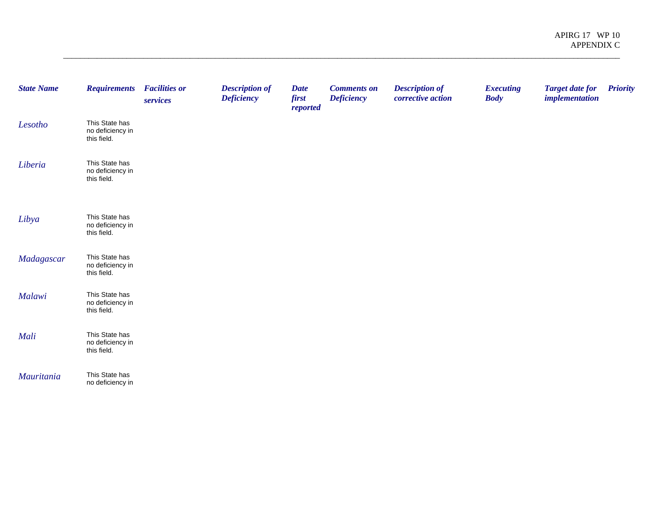| <b>State Name</b> | <b>Requirements</b>                               | <b>Facilities or</b><br>services | <b>Description of</b><br><b>Deficiency</b> | <b>Date</b><br>first<br>reported | <b>Comments on</b><br><b>Deficiency</b> | <b>Description of</b><br>corrective action | <b>Executing</b><br><b>Body</b> | <b>Target date for</b><br><i>implementation</i> | <b>Priority</b> |
|-------------------|---------------------------------------------------|----------------------------------|--------------------------------------------|----------------------------------|-----------------------------------------|--------------------------------------------|---------------------------------|-------------------------------------------------|-----------------|
| Lesotho           | This State has<br>no deficiency in<br>this field. |                                  |                                            |                                  |                                         |                                            |                                 |                                                 |                 |
| Liberia           | This State has<br>no deficiency in<br>this field. |                                  |                                            |                                  |                                         |                                            |                                 |                                                 |                 |
| Libya             | This State has<br>no deficiency in<br>this field. |                                  |                                            |                                  |                                         |                                            |                                 |                                                 |                 |
| Madagascar        | This State has<br>no deficiency in<br>this field. |                                  |                                            |                                  |                                         |                                            |                                 |                                                 |                 |
| Malawi            | This State has<br>no deficiency in<br>this field. |                                  |                                            |                                  |                                         |                                            |                                 |                                                 |                 |
| Mali              | This State has<br>no deficiency in<br>this field. |                                  |                                            |                                  |                                         |                                            |                                 |                                                 |                 |
| Mauritania        | This State has<br>no deficiency in                |                                  |                                            |                                  |                                         |                                            |                                 |                                                 |                 |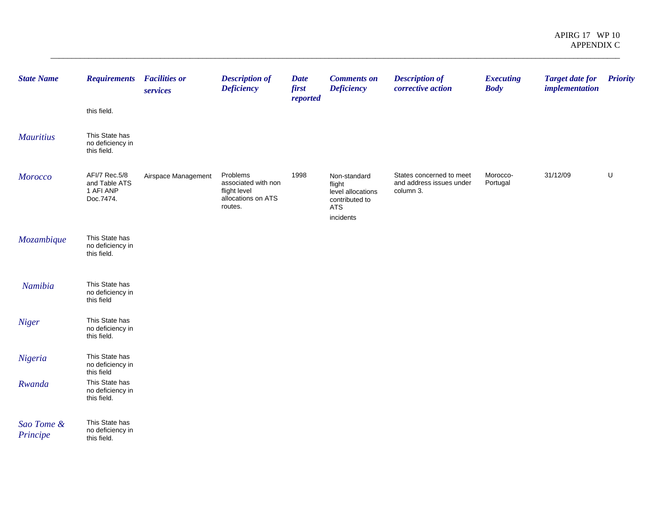| <b>State Name</b>      | <b>Requirements</b> Facilities or                        | services            | <b>Description of</b><br><b>Deficiency</b>                                       | <b>Date</b><br>first<br>reported | <b>Comments on</b><br><b>Deficiency</b>                                                  | <b>Description of</b><br>corrective action                        | <b>Executing</b><br><b>Body</b> | <b>Target date for</b><br><i>implementation</i> | <b>Priority</b> |
|------------------------|----------------------------------------------------------|---------------------|----------------------------------------------------------------------------------|----------------------------------|------------------------------------------------------------------------------------------|-------------------------------------------------------------------|---------------------------------|-------------------------------------------------|-----------------|
|                        | this field.                                              |                     |                                                                                  |                                  |                                                                                          |                                                                   |                                 |                                                 |                 |
| <b>Mauritius</b>       | This State has<br>no deficiency in<br>this field.        |                     |                                                                                  |                                  |                                                                                          |                                                                   |                                 |                                                 |                 |
| <b>Morocco</b>         | AFI/7 Rec.5/8<br>and Table ATS<br>1 AFI ANP<br>Doc.7474. | Airspace Management | Problems<br>associated with non<br>flight level<br>allocations on ATS<br>routes. | 1998                             | Non-standard<br>flight<br>level allocations<br>contributed to<br><b>ATS</b><br>incidents | States concerned to meet<br>and address issues under<br>column 3. | Morocco-<br>Portugal            | 31/12/09                                        | U               |
| Mozambique             | This State has<br>no deficiency in<br>this field.        |                     |                                                                                  |                                  |                                                                                          |                                                                   |                                 |                                                 |                 |
| Namibia                | This State has<br>no deficiency in<br>this field         |                     |                                                                                  |                                  |                                                                                          |                                                                   |                                 |                                                 |                 |
| Niger                  | This State has<br>no deficiency in<br>this field.        |                     |                                                                                  |                                  |                                                                                          |                                                                   |                                 |                                                 |                 |
| Nigeria                | This State has<br>no deficiency in<br>this field         |                     |                                                                                  |                                  |                                                                                          |                                                                   |                                 |                                                 |                 |
| Rwanda                 | This State has<br>no deficiency in<br>this field.        |                     |                                                                                  |                                  |                                                                                          |                                                                   |                                 |                                                 |                 |
| Sao Tome &<br>Principe | This State has<br>no deficiency in<br>this field.        |                     |                                                                                  |                                  |                                                                                          |                                                                   |                                 |                                                 |                 |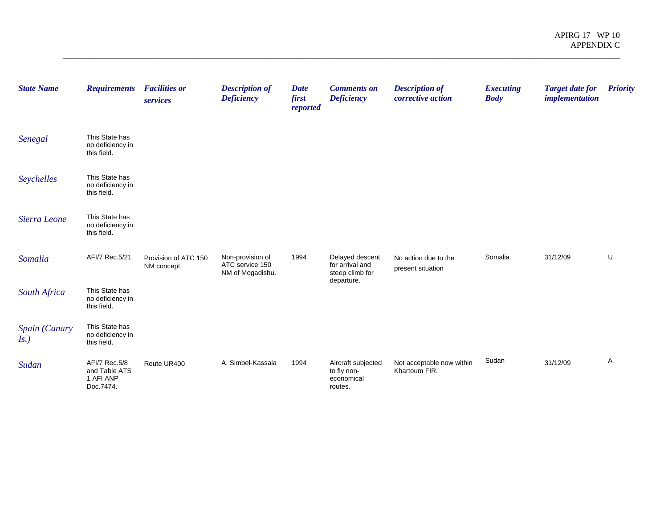| <b>State Name</b>        | <b>Requirements</b>                                      | <b>Facilities or</b><br>services    | <b>Description of</b><br><b>Deficiency</b>              | <b>Date</b><br>first<br>reported | <b>Comments on</b><br><b>Deficiency</b>                    | <b>Description of</b><br>corrective action | <b>Executing</b><br><b>Body</b> | <b>Target date for</b><br><i>implementation</i> | <b>Priority</b> |
|--------------------------|----------------------------------------------------------|-------------------------------------|---------------------------------------------------------|----------------------------------|------------------------------------------------------------|--------------------------------------------|---------------------------------|-------------------------------------------------|-----------------|
| Senegal                  | This State has<br>no deficiency in<br>this field.        |                                     |                                                         |                                  |                                                            |                                            |                                 |                                                 |                 |
| Seychelles               | This State has<br>no deficiency in<br>this field.        |                                     |                                                         |                                  |                                                            |                                            |                                 |                                                 |                 |
| Sierra Leone             | This State has<br>no deficiency in<br>this field.        |                                     |                                                         |                                  |                                                            |                                            |                                 |                                                 |                 |
| Somalia                  | AFI/7 Rec.5/21                                           | Provision of ATC 150<br>NM concept. | Non-provision of<br>ATC service 150<br>NM of Mogadishu. | 1994                             | Delayed descent<br>for arrival and<br>steep climb for      | No action due to the<br>present situation  | Somalia                         | 31/12/09                                        | U               |
| South Africa             | This State has<br>no deficiency in<br>this field.        |                                     |                                                         |                                  | departure.                                                 |                                            |                                 |                                                 |                 |
| Spain (Canary<br>$Is.$ ) | This State has<br>no deficiency in<br>this field.        |                                     |                                                         |                                  |                                                            |                                            |                                 |                                                 |                 |
| Sudan                    | AFI/7 Rec.5/8<br>and Table ATS<br>1 AFI ANP<br>Doc.7474. | Route UR400                         | A. Simbel-Kassala                                       | 1994                             | Aircraft subjected<br>to fly non-<br>economical<br>routes. | Not acceptable now within<br>Khartoum FIR. | Sudan                           | 31/12/09                                        | Α               |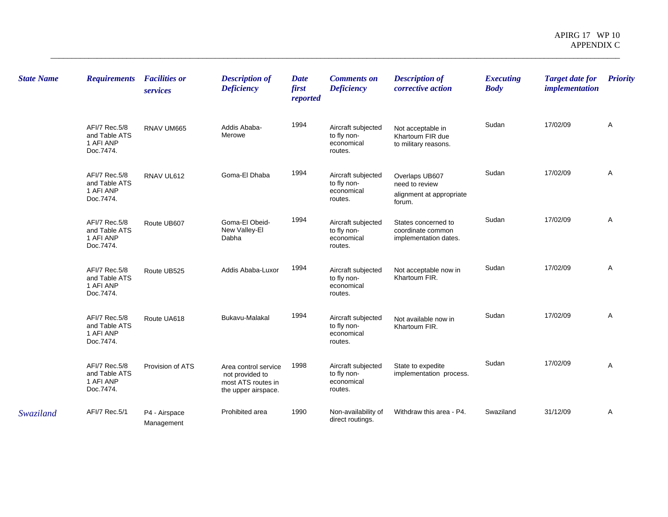| <b>State Name</b> | <b>Requirements</b>                                      | <b>Facilities or</b><br>services | <b>Description of</b><br><b>Deficiency</b>                                           | <b>Date</b><br>first<br>reported | <b>Comments on</b><br><b>Deficiency</b>                    | <b>Description of</b><br>corrective action                             | <b>Executing</b><br><b>Body</b> | <b>Target date for</b><br><i>implementation</i> | <b>Priority</b> |
|-------------------|----------------------------------------------------------|----------------------------------|--------------------------------------------------------------------------------------|----------------------------------|------------------------------------------------------------|------------------------------------------------------------------------|---------------------------------|-------------------------------------------------|-----------------|
|                   | AFI/7 Rec.5/8<br>and Table ATS<br>1 AFI ANP<br>Doc.7474. | RNAV UM665                       | Addis Ababa-<br>Merowe                                                               | 1994                             | Aircraft subjected<br>to fly non-<br>economical<br>routes. | Not acceptable in<br>Khartoum FIR due<br>to military reasons.          | Sudan                           | 17/02/09                                        | Α               |
|                   | AFI/7 Rec.5/8<br>and Table ATS<br>1 AFI ANP<br>Doc.7474. | RNAV UL612                       | Goma-El Dhaba                                                                        | 1994                             | Aircraft subjected<br>to fly non-<br>economical<br>routes. | Overlaps UB607<br>need to review<br>alignment at appropriate<br>forum. | Sudan                           | 17/02/09                                        | Α               |
|                   | AFI/7 Rec.5/8<br>and Table ATS<br>1 AFI ANP<br>Doc.7474. | Route UB607                      | Goma-El Obeid-<br>New Valley-El<br>Dabha                                             | 1994                             | Aircraft subjected<br>to fly non-<br>economical<br>routes. | States concerned to<br>coordinate common<br>implementation dates.      | Sudan                           | 17/02/09                                        | A               |
|                   | AFI/7 Rec.5/8<br>and Table ATS<br>1 AFI ANP<br>Doc.7474. | Route UB525                      | Addis Ababa-Luxor                                                                    | 1994                             | Aircraft subjected<br>to fly non-<br>economical<br>routes. | Not acceptable now in<br>Khartoum FIR.                                 | Sudan                           | 17/02/09                                        | Α               |
|                   | AFI/7 Rec.5/8<br>and Table ATS<br>1 AFI ANP<br>Doc.7474. | Route UA618                      | Bukavu-Malakal                                                                       | 1994                             | Aircraft subjected<br>to fly non-<br>economical<br>routes. | Not available now in<br>Khartoum FIR.                                  | Sudan                           | 17/02/09                                        | A               |
|                   | AFI/7 Rec.5/8<br>and Table ATS<br>1 AFI ANP<br>Doc.7474. | Provision of ATS                 | Area control service<br>not provided to<br>most ATS routes in<br>the upper airspace. | 1998                             | Aircraft subjected<br>to fly non-<br>economical<br>routes. | State to expedite<br>implementation process.                           | Sudan                           | 17/02/09                                        | A               |
| Swaziland         | AFI/7 Rec.5/1                                            | P4 - Airspace<br>Management      | Prohibited area                                                                      | 1990                             | Non-availability of<br>direct routings.                    | Withdraw this area - P4.                                               | Swaziland                       | 31/12/09                                        | Α               |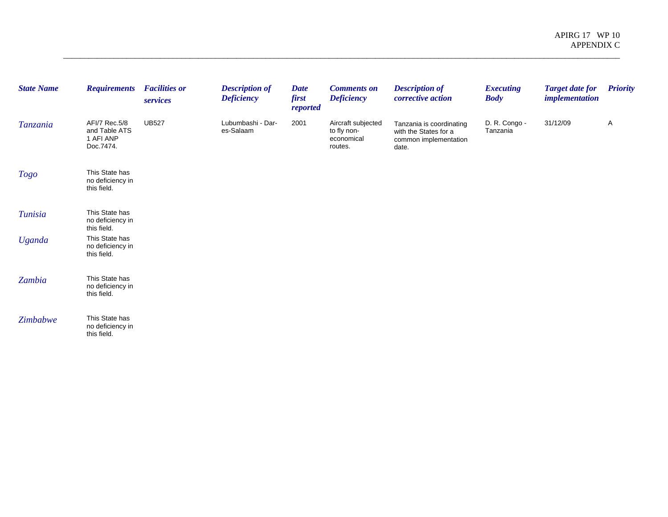| <b>State Name</b> | <b>Requirements</b>                                      | <b>Facilities or</b><br>services | <b>Description of</b><br><b>Deficiency</b> | <b>Date</b><br>first<br>reported | <b>Comments on</b><br><b>Deficiency</b>                    | <b>Description of</b><br>corrective action                                          | <b>Executing</b><br><b>Body</b> | <b>Target date for</b><br>implementation | <b>Priority</b> |
|-------------------|----------------------------------------------------------|----------------------------------|--------------------------------------------|----------------------------------|------------------------------------------------------------|-------------------------------------------------------------------------------------|---------------------------------|------------------------------------------|-----------------|
| Tanzania          | AFI/7 Rec.5/8<br>and Table ATS<br>1 AFI ANP<br>Doc.7474. | <b>UB527</b>                     | Lubumbashi - Dar-<br>es-Salaam             | 2001                             | Aircraft subjected<br>to fly non-<br>economical<br>routes. | Tanzania is coordinating<br>with the States for a<br>common implementation<br>date. | D. R. Congo -<br>Tanzania       | 31/12/09                                 | A               |
| Togo              | This State has<br>no deficiency in<br>this field.        |                                  |                                            |                                  |                                                            |                                                                                     |                                 |                                          |                 |
| <b>Tunisia</b>    | This State has<br>no deficiency in<br>this field.        |                                  |                                            |                                  |                                                            |                                                                                     |                                 |                                          |                 |
| <b>Uganda</b>     | This State has<br>no deficiency in<br>this field.        |                                  |                                            |                                  |                                                            |                                                                                     |                                 |                                          |                 |
| Zambia            | This State has<br>no deficiency in<br>this field.        |                                  |                                            |                                  |                                                            |                                                                                     |                                 |                                          |                 |
| Zimbabwe          | This State has<br>no deficiency in<br>this field.        |                                  |                                            |                                  |                                                            |                                                                                     |                                 |                                          |                 |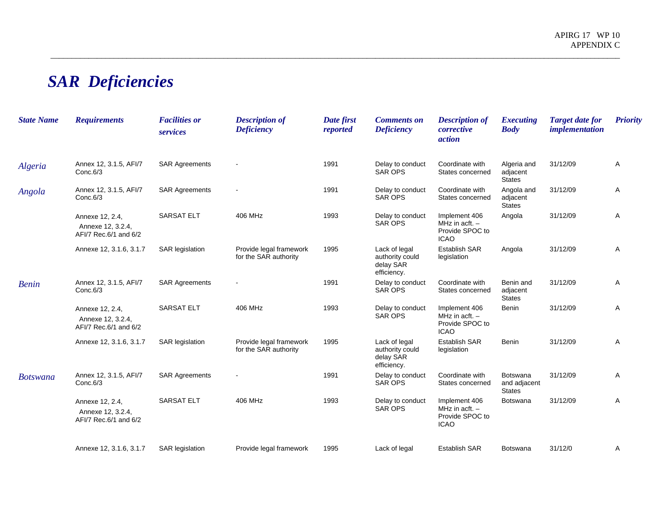## *SAR Deficiencies*

| <b>State Name</b> | <b>Requirements</b>                                           | <b>Facilities or</b><br>services | <b>Description of</b><br><b>Deficiency</b>       | Date first<br>reported | <b>Comments on</b><br><b>Deficiency</b>                      | <b>Description of</b><br>corrective<br>action                       | <b>Executing</b><br><b>Body</b>                  | <b>Target date for</b><br><i>implementation</i> | <b>Priority</b> |
|-------------------|---------------------------------------------------------------|----------------------------------|--------------------------------------------------|------------------------|--------------------------------------------------------------|---------------------------------------------------------------------|--------------------------------------------------|-------------------------------------------------|-----------------|
| Algeria           | Annex 12, 3.1.5, AFI/7<br>Conc.6/3                            | <b>SAR Agreements</b>            |                                                  | 1991                   | Delay to conduct<br><b>SAR OPS</b>                           | Coordinate with<br>States concerned                                 | Algeria and<br>adjacent<br><b>States</b>         | 31/12/09                                        | A               |
| Angola            | Annex 12, 3.1.5, AFI/7<br>Conc.6/3                            | <b>SAR Agreements</b>            |                                                  | 1991                   | Delay to conduct<br><b>SAR OPS</b>                           | Coordinate with<br>States concerned                                 | Angola and<br>adjacent<br><b>States</b>          | 31/12/09                                        | Α               |
|                   | Annexe 12, 2.4,<br>Annexe 12, 3.2.4,<br>AFI/7 Rec.6/1 and 6/2 | <b>SARSAT ELT</b>                | 406 MHz                                          | 1993                   | Delay to conduct<br>SAR OPS                                  | Implement 406<br>MHz in acft. $-$<br>Provide SPOC to<br><b>ICAO</b> | Angola                                           | 31/12/09                                        | Α               |
|                   | Annexe 12, 3.1.6, 3.1.7                                       | <b>SAR</b> legislation           | Provide legal framework<br>for the SAR authority | 1995                   | Lack of legal<br>authority could<br>delay SAR<br>efficiency. | <b>Establish SAR</b><br>legislation                                 | Angola                                           | 31/12/09                                        | Α               |
| <b>Benin</b>      | Annex 12, 3.1.5, AFI/7<br>Conc.6/3                            | <b>SAR Agreements</b>            |                                                  | 1991                   | Delay to conduct<br><b>SAR OPS</b>                           | Coordinate with<br>States concerned                                 | Benin and<br>adjacent<br><b>States</b>           | 31/12/09                                        | Α               |
|                   | Annexe 12, 2.4,<br>Annexe 12, 3.2.4,<br>AFI/7 Rec.6/1 and 6/2 | <b>SARSAT ELT</b>                | 406 MHz                                          | 1993                   | Delay to conduct<br><b>SAR OPS</b>                           | Implement 406<br>MHz in $actt.$ -<br>Provide SPOC to<br><b>ICAO</b> | Benin                                            | 31/12/09                                        | A               |
|                   | Annexe 12, 3.1.6, 3.1.7                                       | <b>SAR</b> legislation           | Provide legal framework<br>for the SAR authority | 1995                   | Lack of legal<br>authority could<br>delay SAR<br>efficiency. | <b>Establish SAR</b><br>legislation                                 | Benin                                            | 31/12/09                                        | A               |
| <b>Botswana</b>   | Annex 12, 3.1.5, AFI/7<br>Conc.6/3                            | <b>SAR Agreements</b>            |                                                  | 1991                   | Delay to conduct<br>SAR OPS                                  | Coordinate with<br>States concerned                                 | <b>Botswana</b><br>and adjacent<br><b>States</b> | 31/12/09                                        | Α               |
|                   | Annexe 12, 2.4,<br>Annexe 12, 3.2.4,<br>AFI/7 Rec.6/1 and 6/2 | <b>SARSAT ELT</b>                | 406 MHz                                          | 1993                   | Delay to conduct<br><b>SAR OPS</b>                           | Implement 406<br>MHz in $actt.$ -<br>Provide SPOC to<br><b>ICAO</b> | Botswana                                         | 31/12/09                                        | Α               |
|                   | Annexe 12, 3.1.6, 3.1.7                                       | <b>SAR</b> legislation           | Provide legal framework                          | 1995                   | Lack of legal                                                | <b>Establish SAR</b>                                                | <b>Botswana</b>                                  | 31/12/0                                         | A               |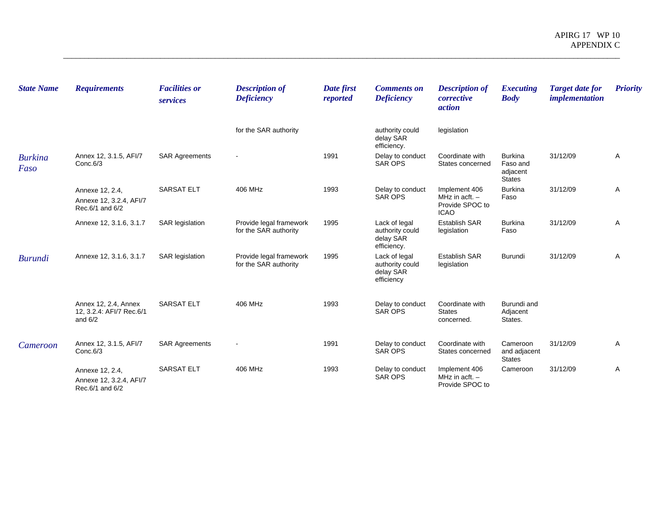| <b>State Name</b>      | <b>Requirements</b>                                           | <b>Facilities or</b><br>services | <b>Description of</b><br><b>Deficiency</b>       | Date first<br>reported | <b>Comments on</b><br><b>Deficiency</b>                      | <b>Description of</b><br>corrective<br><i>action</i>                | <b>Executing</b><br><b>Body</b>                         | <b>Target date for</b><br><i>implementation</i> | <b>Priority</b> |
|------------------------|---------------------------------------------------------------|----------------------------------|--------------------------------------------------|------------------------|--------------------------------------------------------------|---------------------------------------------------------------------|---------------------------------------------------------|-------------------------------------------------|-----------------|
|                        |                                                               |                                  | for the SAR authority                            |                        | authority could<br>delay SAR<br>efficiency.                  | legislation                                                         |                                                         |                                                 |                 |
| <b>Burkina</b><br>Faso | Annex 12, 3.1.5, AFI/7<br>Conc.6/3                            | <b>SAR Agreements</b>            |                                                  | 1991                   | Delay to conduct<br><b>SAR OPS</b>                           | Coordinate with<br>States concerned                                 | <b>Burkina</b><br>Faso and<br>adjacent<br><b>States</b> | 31/12/09                                        | Α               |
|                        | Annexe 12, 2.4,<br>Annexe 12, 3.2.4, AFI/7<br>Rec.6/1 and 6/2 | <b>SARSAT ELT</b>                | 406 MHz                                          | 1993                   | Delay to conduct<br><b>SAR OPS</b>                           | Implement 406<br>MHz in acft. $-$<br>Provide SPOC to<br><b>ICAO</b> | <b>Burkina</b><br>Faso                                  | 31/12/09                                        | Α               |
|                        | Annexe 12, 3.1.6, 3.1.7                                       | <b>SAR</b> legislation           | Provide legal framework<br>for the SAR authority | 1995                   | Lack of legal<br>authority could<br>delay SAR<br>efficiency. | <b>Establish SAR</b><br>legislation                                 | <b>Burkina</b><br>Faso                                  | 31/12/09                                        | Α               |
| <b>Burundi</b>         | Annexe 12, 3.1.6, 3.1.7                                       | <b>SAR</b> legislation           | Provide legal framework<br>for the SAR authority | 1995                   | Lack of legal<br>authority could<br>delay SAR<br>efficiency  | <b>Establish SAR</b><br>legislation                                 | Burundi                                                 | 31/12/09                                        | Α               |
|                        | Annex 12, 2.4, Annex<br>12, 3.2.4: AFI/7 Rec.6/1<br>and $6/2$ | <b>SARSAT ELT</b>                | 406 MHz                                          | 1993                   | Delay to conduct<br><b>SAR OPS</b>                           | Coordinate with<br><b>States</b><br>concerned.                      | Burundi and<br>Adjacent<br>States.                      |                                                 |                 |
| Cameroon               | Annex 12, 3.1.5, AFI/7<br>Conc.6/3                            | <b>SAR Agreements</b>            |                                                  | 1991                   | Delay to conduct<br><b>SAR OPS</b>                           | Coordinate with<br>States concerned                                 | Cameroon<br>and adjacent<br><b>States</b>               | 31/12/09                                        | Α               |
|                        | Annexe 12, 2.4,<br>Annexe 12, 3.2.4, AFI/7<br>Rec.6/1 and 6/2 | <b>SARSAT ELT</b>                | 406 MHz                                          | 1993                   | Delay to conduct<br><b>SAR OPS</b>                           | Implement 406<br>MHz in acft. $-$<br>Provide SPOC to                | Cameroon                                                | 31/12/09                                        | Α               |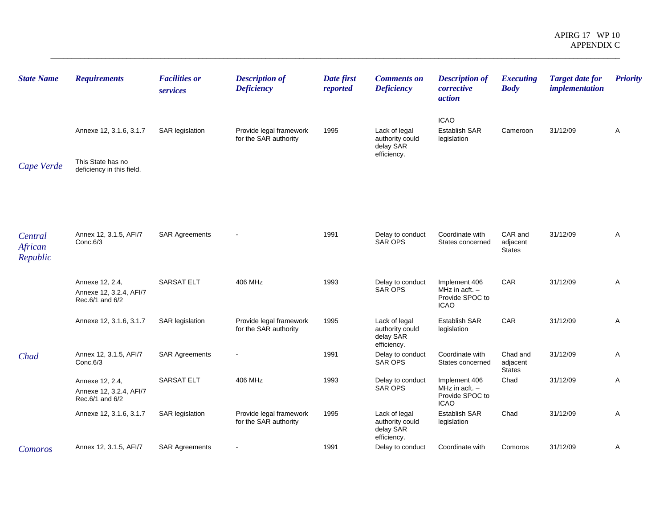| <b>State Name</b>              | <b>Requirements</b>                                                       | <b>Facilities or</b><br>services | <b>Description of</b><br><b>Deficiency</b>       | Date first<br>reported | <b>Comments on</b><br><b>Deficiency</b>                      | <b>Description of</b><br>corrective<br><i>action</i>                | <b>Executing</b><br><b>Body</b>       | <b>Target date for</b><br><i>implementation</i> | <b>Priority</b> |
|--------------------------------|---------------------------------------------------------------------------|----------------------------------|--------------------------------------------------|------------------------|--------------------------------------------------------------|---------------------------------------------------------------------|---------------------------------------|-------------------------------------------------|-----------------|
| Cape Verde                     | Annexe 12, 3.1.6, 3.1.7<br>This State has no<br>deficiency in this field. | <b>SAR legislation</b>           | Provide legal framework<br>for the SAR authority | 1995                   | Lack of legal<br>authority could<br>delay SAR<br>efficiency. | <b>ICAO</b><br><b>Establish SAR</b><br>legislation                  | Cameroon                              | 31/12/09                                        | A               |
| Central<br>African<br>Republic | Annex 12, 3.1.5, AFI/7<br>Conc.6/3                                        | <b>SAR Agreements</b>            |                                                  | 1991                   | Delay to conduct<br><b>SAR OPS</b>                           | Coordinate with<br>States concerned                                 | CAR and<br>adjacent<br><b>States</b>  | 31/12/09                                        | Α               |
|                                | Annexe 12, 2.4,<br>Annexe 12, 3.2.4, AFI/7<br>Rec.6/1 and 6/2             | <b>SARSAT ELT</b>                | 406 MHz                                          | 1993                   | Delay to conduct<br><b>SAR OPS</b>                           | Implement 406<br>MHz in acft. -<br>Provide SPOC to<br><b>ICAO</b>   | CAR                                   | 31/12/09                                        | A               |
|                                | Annexe 12, 3.1.6, 3.1.7                                                   | <b>SAR</b> legislation           | Provide legal framework<br>for the SAR authority | 1995                   | Lack of legal<br>authority could<br>delay SAR<br>efficiency. | Establish SAR<br>legislation                                        | CAR                                   | 31/12/09                                        | Α               |
| Chad                           | Annex 12, 3.1.5, AFI/7<br>Conc.6/3                                        | <b>SAR Agreements</b>            |                                                  | 1991                   | Delay to conduct<br>SAR OPS                                  | Coordinate with<br>States concerned                                 | Chad and<br>adjacent<br><b>States</b> | 31/12/09                                        | A               |
|                                | Annexe 12, 2.4,<br>Annexe 12, 3.2.4, AFI/7<br>Rec.6/1 and 6/2             | <b>SARSAT ELT</b>                | 406 MHz                                          | 1993                   | Delay to conduct<br><b>SAR OPS</b>                           | Implement 406<br>MHz in $actt. -$<br>Provide SPOC to<br><b>ICAO</b> | Chad                                  | 31/12/09                                        | A               |
|                                | Annexe 12, 3.1.6, 3.1.7                                                   | <b>SAR legislation</b>           | Provide legal framework<br>for the SAR authority | 1995                   | Lack of legal<br>authority could<br>delay SAR<br>efficiency. | Establish SAR<br>legislation                                        | Chad                                  | 31/12/09                                        | Α               |
| Comoros                        | Annex 12, 3.1.5, AFI/7                                                    | <b>SAR Agreements</b>            |                                                  | 1991                   | Delay to conduct                                             | Coordinate with                                                     | Comoros                               | 31/12/09                                        | Α               |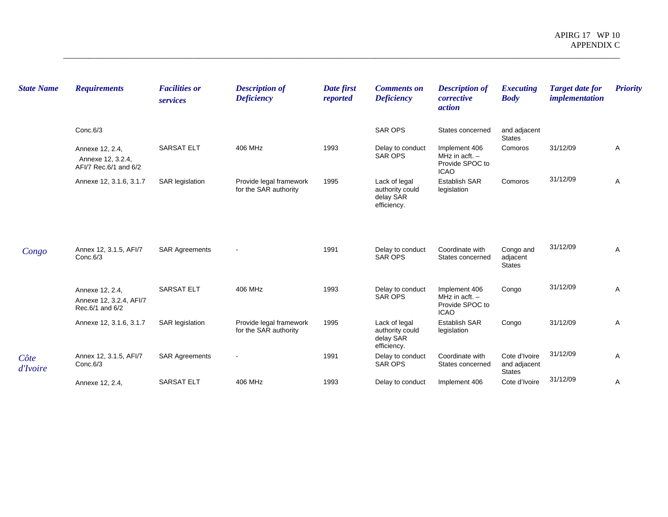| <b>State Name</b> | <b>Requirements</b>                                           | <b>Facilities or</b><br>services | <b>Description of</b><br><b>Deficiency</b>       | Date first<br>reported | <b>Comments on</b><br><b>Deficiency</b>                      | <b>Description of</b><br>corrective<br><i>action</i>                | <i>Executing</i><br><b>Body</b>                | <b>Target date for</b><br><i>implementation</i> | <b>Priority</b> |
|-------------------|---------------------------------------------------------------|----------------------------------|--------------------------------------------------|------------------------|--------------------------------------------------------------|---------------------------------------------------------------------|------------------------------------------------|-------------------------------------------------|-----------------|
|                   | Conc.6/3                                                      |                                  |                                                  |                        | <b>SAR OPS</b>                                               | States concerned                                                    | and adjacent<br><b>States</b>                  |                                                 |                 |
|                   | Annexe 12, 2.4,<br>Annexe 12, 3.2.4,<br>AFI/7 Rec.6/1 and 6/2 | <b>SARSAT ELT</b>                | 406 MHz                                          | 1993                   | Delay to conduct<br><b>SAR OPS</b>                           | Implement 406<br>MHz in acft. $-$<br>Provide SPOC to<br><b>ICAO</b> | Comoros                                        | 31/12/09                                        | Α               |
|                   | Annexe 12, 3.1.6, 3.1.7                                       | <b>SAR</b> legislation           | Provide legal framework<br>for the SAR authority | 1995                   | Lack of legal<br>authority could<br>delay SAR<br>efficiency. | <b>Establish SAR</b><br>legislation                                 | Comoros                                        | 31/12/09                                        | Α               |
| Congo             | Annex 12, 3.1.5, AFI/7<br>Conc.6/3                            | <b>SAR Agreements</b>            |                                                  | 1991                   | Delay to conduct<br><b>SAR OPS</b>                           | Coordinate with<br>States concerned                                 | Congo and<br>adjacent<br><b>States</b>         | 31/12/09                                        | A               |
|                   | Annexe 12, 2.4,<br>Annexe 12, 3.2.4, AFI/7<br>Rec.6/1 and 6/2 | <b>SARSAT ELT</b>                | 406 MHz                                          | 1993                   | Delay to conduct<br><b>SAR OPS</b>                           | Implement 406<br>MHz in $actt. -$<br>Provide SPOC to<br><b>ICAO</b> | Congo                                          | 31/12/09                                        | Α               |
|                   | Annexe 12, 3.1.6, 3.1.7                                       | <b>SAR</b> legislation           | Provide legal framework<br>for the SAR authority | 1995                   | Lack of legal<br>authority could<br>delay SAR<br>efficiency. | <b>Establish SAR</b><br>legislation                                 | Congo                                          | 31/12/09                                        | A               |
| Côte<br>d'Ivoire  | Annex 12, 3.1.5, AFI/7<br>Conc.6/3                            | <b>SAR Agreements</b>            |                                                  | 1991                   | Delay to conduct<br><b>SAR OPS</b>                           | Coordinate with<br>States concerned                                 | Cote d'Ivoire<br>and adjacent<br><b>States</b> | 31/12/09                                        | $\overline{A}$  |
|                   | Annexe 12, 2.4,                                               | <b>SARSAT ELT</b>                | 406 MHz                                          | 1993                   | Delay to conduct                                             | Implement 406                                                       | Cote d'Ivoire                                  | 31/12/09                                        | Α               |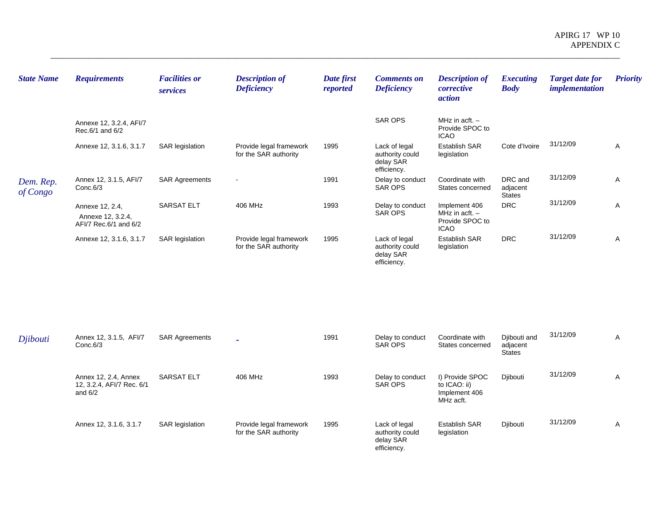| <b>State Name</b>     | <b>Requirements</b>                                           | <b>Facilities or</b><br>services | <b>Description of</b><br><b>Deficiency</b>       | Date first<br>reported | <b>Comments on</b><br><b>Deficiency</b>                      | <b>Description of</b><br>corrective<br><i>action</i>                | <b>Executing</b><br><b>Body</b>      | <b>Target date for</b><br><i>implementation</i> | <b>Priority</b> |
|-----------------------|---------------------------------------------------------------|----------------------------------|--------------------------------------------------|------------------------|--------------------------------------------------------------|---------------------------------------------------------------------|--------------------------------------|-------------------------------------------------|-----------------|
|                       | Annexe 12, 3.2.4, AFI/7<br>Rec.6/1 and 6/2                    |                                  |                                                  |                        | <b>SAR OPS</b>                                               | MHz in acft. $-$<br>Provide SPOC to<br><b>ICAO</b>                  |                                      |                                                 |                 |
|                       | Annexe 12, 3.1.6, 3.1.7                                       | <b>SAR legislation</b>           | Provide legal framework<br>for the SAR authority | 1995                   | Lack of legal<br>authority could<br>delay SAR<br>efficiency. | <b>Establish SAR</b><br>legislation                                 | Cote d'Ivoire                        | 31/12/09                                        | Α               |
| Dem. Rep.<br>of Congo | Annex 12, 3.1.5, AFI/7<br>Conc.6/3                            | <b>SAR Agreements</b>            | $\overline{\phantom{a}}$                         | 1991                   | Delay to conduct<br>SAR OPS                                  | Coordinate with<br>States concerned                                 | DRC and<br>adjacent<br><b>States</b> | 31/12/09                                        | Α               |
|                       | Annexe 12, 2.4,<br>Annexe 12, 3.2.4,<br>AFI/7 Rec.6/1 and 6/2 | <b>SARSAT ELT</b>                | 406 MHz                                          | 1993                   | Delay to conduct<br>SAR OPS                                  | Implement 406<br>MHz in acft. $-$<br>Provide SPOC to<br><b>ICAO</b> | <b>DRC</b>                           | 31/12/09                                        | A               |
|                       | Annexe 12, 3.1.6, 3.1.7                                       | SAR legislation                  | Provide legal framework<br>for the SAR authority | 1995                   | Lack of legal<br>authority could<br>delay SAR<br>efficiency. | <b>Establish SAR</b><br>legislation                                 | <b>DRC</b>                           | 31/12/09                                        | Α               |
|                       |                                                               |                                  |                                                  |                        |                                                              |                                                                     |                                      |                                                 |                 |

| Djibouti | Annex 12, 3.1.5, AFI/7<br>Conc.6/3                             | <b>SAR Agreements</b>  | $\overline{\phantom{0}}$                         | 1991 | Delay to conduct<br>SAR OPS                                  | Coordinate with<br>States concerned                           | Djibouti and<br>adjacent<br><b>States</b> | 31/12/09 | $\mathsf{A}$ |
|----------|----------------------------------------------------------------|------------------------|--------------------------------------------------|------|--------------------------------------------------------------|---------------------------------------------------------------|-------------------------------------------|----------|--------------|
|          | Annex 12, 2.4, Annex<br>12, 3.2.4, AFI/7 Rec. 6/1<br>and $6/2$ | <b>SARSAT ELT</b>      | 406 MHz                                          | 1993 | Delay to conduct<br>SAR OPS                                  | I) Provide SPOC<br>to ICAO: ii)<br>Implement 406<br>MHz acft. | Diibouti                                  | 31/12/09 | A            |
|          | Annex 12, 3.1.6, 3.1.7                                         | <b>SAR</b> legislation | Provide legal framework<br>for the SAR authority | 1995 | Lack of legal<br>authority could<br>delay SAR<br>efficiency. | <b>Establish SAR</b><br>legislation                           | Diibouti                                  | 31/12/09 | $\mathsf{A}$ |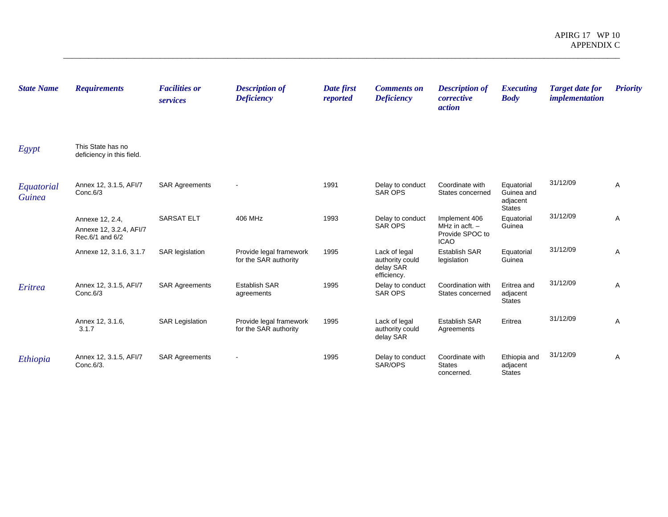| <b>State Name</b>           | <b>Requirements</b>                                           | <b>Facilities or</b><br>services | <b>Description of</b><br><b>Deficiency</b>       | Date first<br>reported | <b>Comments on</b><br><b>Deficiency</b>                      | <b>Description of</b><br>corrective<br><i>action</i>                | <b>Executing</b><br><b>Body</b>                       | <b>Target date for</b><br><i>implementation</i> | <b>Priority</b> |
|-----------------------------|---------------------------------------------------------------|----------------------------------|--------------------------------------------------|------------------------|--------------------------------------------------------------|---------------------------------------------------------------------|-------------------------------------------------------|-------------------------------------------------|-----------------|
| Egypt                       | This State has no<br>deficiency in this field.                |                                  |                                                  |                        |                                                              |                                                                     |                                                       |                                                 |                 |
| Equatorial<br><b>Guinea</b> | Annex 12, 3.1.5, AFI/7<br>Conc.6/3                            | <b>SAR Agreements</b>            | $\blacksquare$                                   | 1991                   | Delay to conduct<br><b>SAR OPS</b>                           | Coordinate with<br>States concerned                                 | Equatorial<br>Guinea and<br>adjacent<br><b>States</b> | 31/12/09                                        | A               |
|                             | Annexe 12, 2.4,<br>Annexe 12, 3.2.4, AFI/7<br>Rec.6/1 and 6/2 | <b>SARSAT ELT</b>                | 406 MHz                                          | 1993                   | Delay to conduct<br><b>SAR OPS</b>                           | Implement 406<br>MHz in acft. $-$<br>Provide SPOC to<br><b>ICAO</b> | Equatorial<br>Guinea                                  | 31/12/09                                        | $\overline{A}$  |
|                             | Annexe 12, 3.1.6, 3.1.7                                       | <b>SAR</b> legislation           | Provide legal framework<br>for the SAR authority | 1995                   | Lack of legal<br>authority could<br>delay SAR<br>efficiency. | <b>Establish SAR</b><br>legislation                                 | Equatorial<br>Guinea                                  | 31/12/09                                        | A               |
| Eritrea                     | Annex 12, 3.1.5, AFI/7<br>Conc.6/3                            | <b>SAR Agreements</b>            | <b>Establish SAR</b><br>agreements               | 1995                   | Delay to conduct<br><b>SAR OPS</b>                           | Coordination with<br>States concerned                               | Eritrea and<br>adjacent<br><b>States</b>              | 31/12/09                                        | A               |
|                             | Annex 12, 3.1.6,<br>3.1.7                                     | <b>SAR Legislation</b>           | Provide legal framework<br>for the SAR authority | 1995                   | Lack of legal<br>authority could<br>delay SAR                | <b>Establish SAR</b><br>Agreements                                  | Eritrea                                               | 31/12/09                                        | A               |
| Ethiopia                    | Annex 12, 3.1.5, AFI/7<br>Conc.6/3.                           | <b>SAR Agreements</b>            |                                                  | 1995                   | Delay to conduct<br>SAR/OPS                                  | Coordinate with<br><b>States</b><br>concerned.                      | Ethiopia and<br>adjacent<br><b>States</b>             | 31/12/09                                        | A               |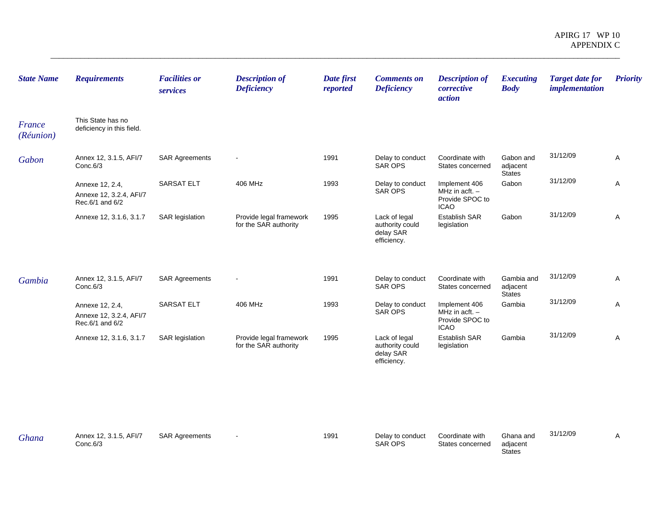| <b>Requirements</b>                                           | <b>Facilities or</b><br>services | <b>Description of</b><br><b>Deficiency</b>       | Date first<br>reported | <b>Comments on</b><br><b>Deficiency</b>                      | <b>Description of</b><br>corrective<br>action                       | <b>Executing</b><br><b>Body</b>  | <b>Target date for</b><br><i>implementation</i> | <b>Priority</b> |
|---------------------------------------------------------------|----------------------------------|--------------------------------------------------|------------------------|--------------------------------------------------------------|---------------------------------------------------------------------|----------------------------------|-------------------------------------------------|-----------------|
| This State has no<br>deficiency in this field.                |                                  |                                                  |                        |                                                              |                                                                     |                                  |                                                 |                 |
| Annex 12, 3.1.5, AFI/7<br>Conc.6/3                            | <b>SAR Agreements</b>            |                                                  | 1991                   | Delay to conduct<br><b>SAR OPS</b>                           | Coordinate with<br>States concerned                                 | Gabon and<br>adjacent            | 31/12/09                                        | Α               |
| Annexe 12, 2.4,<br>Annexe 12, 3.2.4, AFI/7<br>Rec.6/1 and 6/2 | SARSAT ELT                       | 406 MHz                                          | 1993                   | Delay to conduct<br><b>SAR OPS</b>                           | Implement 406<br>MHz in $actt. -$<br>Provide SPOC to<br><b>ICAO</b> | Gabon                            | 31/12/09                                        | Α               |
| Annexe 12, 3.1.6, 3.1.7                                       | <b>SAR</b> legislation           | Provide legal framework<br>for the SAR authority | 1995                   | Lack of legal<br>authority could<br>delay SAR<br>efficiency. | <b>Establish SAR</b><br>legislation                                 | Gabon                            | 31/12/09                                        | Α               |
| Annex 12, 3.1.5, AFI/7<br>Conc.6/3                            | <b>SAR Agreements</b>            |                                                  | 1991                   | Delay to conduct<br>SAR OPS                                  | Coordinate with<br>States concerned                                 | Gambia and<br>adjacent<br>States | 31/12/09                                        | Α               |
| Annexe 12, 2.4,<br>Annexe 12, 3.2.4, AFI/7<br>Rec.6/1 and 6/2 | <b>SARSAT ELT</b>                | 406 MHz                                          | 1993                   | Delay to conduct<br><b>SAR OPS</b>                           | Implement 406<br>MHz in acft. $-$<br>Provide SPOC to                | Gambia                           | 31/12/09                                        | Α               |
| Annexe 12, 3.1.6, 3.1.7                                       | <b>SAR</b> legislation           | Provide legal framework<br>for the SAR authority | 1995                   | Lack of legal<br>authority could<br>delay SAR<br>efficiency. | Establish SAR<br>legislation                                        | Gambia                           | 31/12/09                                        | Α               |
|                                                               |                                  |                                                  |                        |                                                              |                                                                     |                                  |                                                 |                 |
|                                                               |                                  |                                                  |                        |                                                              |                                                                     | <b>ICAO</b>                      | <b>States</b>                                   |                 |

| Ghana | Annex 12, 3.1.5, AFI/7<br>Conc.6/3 | <b>SAR Agreements</b> | 1991 | Delay to conduct<br><b>SAR OPS</b> | Coordinate with<br>States concerned | Ghana and<br>adiacent | 31/12/09 |  |
|-------|------------------------------------|-----------------------|------|------------------------------------|-------------------------------------|-----------------------|----------|--|
|       |                                    |                       |      |                                    |                                     | <b>States</b>         |          |  |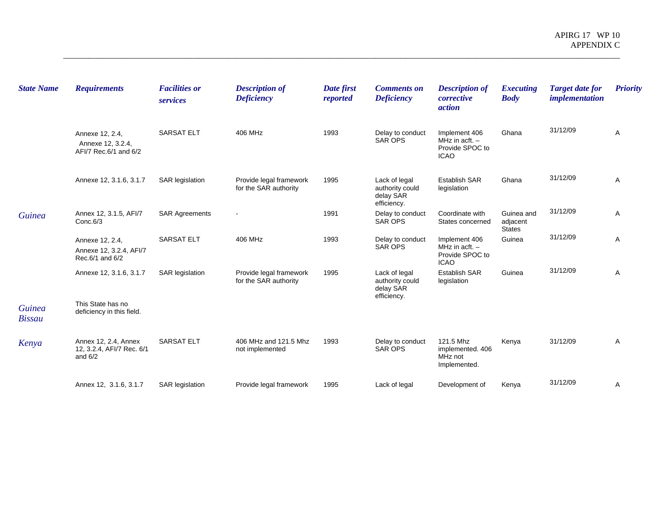| <b>State Name</b>              | <b>Requirements</b>                                            | <b>Facilities or</b><br>services | <b>Description of</b><br><b>Deficiency</b>       | Date first<br>reported | <b>Comments on</b><br><b>Deficiency</b>                      | <b>Description of</b><br>corrective<br>action                       | <b>Executing</b><br><b>Body</b>         | <b>Target date for</b><br><i>implementation</i> | <b>Priority</b> |
|--------------------------------|----------------------------------------------------------------|----------------------------------|--------------------------------------------------|------------------------|--------------------------------------------------------------|---------------------------------------------------------------------|-----------------------------------------|-------------------------------------------------|-----------------|
|                                | Annexe 12, 2.4,<br>Annexe 12, 3.2.4,<br>AFI/7 Rec.6/1 and 6/2  | <b>SARSAT ELT</b>                | 406 MHz                                          | 1993                   | Delay to conduct<br><b>SAR OPS</b>                           | Implement 406<br>MHz in $actt.$ -<br>Provide SPOC to<br><b>ICAO</b> | Ghana                                   | 31/12/09                                        | Α               |
|                                | Annexe 12, 3.1.6, 3.1.7                                        | <b>SAR</b> legislation           | Provide legal framework<br>for the SAR authority | 1995                   | Lack of legal<br>authority could<br>delay SAR<br>efficiency. | <b>Establish SAR</b><br>legislation                                 | Ghana                                   | 31/12/09                                        | Α               |
| <b>Guinea</b>                  | Annex 12, 3.1.5, AFI/7<br>Conc.6/3                             | <b>SAR Agreements</b>            |                                                  | 1991                   | Delay to conduct<br><b>SAR OPS</b>                           | Coordinate with<br>States concerned                                 | Guinea and<br>adjacent<br><b>States</b> | 31/12/09                                        | Α               |
|                                | Annexe 12, 2.4,<br>Annexe 12, 3.2.4, AFI/7<br>Rec.6/1 and 6/2  | <b>SARSAT ELT</b>                | 406 MHz                                          | 1993                   | Delay to conduct<br><b>SAR OPS</b>                           | Implement 406<br>MHz in acft. $-$<br>Provide SPOC to<br><b>ICAO</b> | Guinea                                  | 31/12/09                                        | Α               |
|                                | Annexe 12, 3.1.6, 3.1.7                                        | <b>SAR</b> legislation           | Provide legal framework<br>for the SAR authority | 1995                   | Lack of legal<br>authority could<br>delay SAR<br>efficiency. | <b>Establish SAR</b><br>legislation                                 | Guinea                                  | 31/12/09                                        | A               |
| <b>Guinea</b><br><b>Bissau</b> | This State has no<br>deficiency in this field.                 |                                  |                                                  |                        |                                                              |                                                                     |                                         |                                                 |                 |
| Kenya                          | Annex 12, 2.4, Annex<br>12, 3.2.4, AFI/7 Rec. 6/1<br>and $6/2$ | <b>SARSAT ELT</b>                | 406 MHz and 121.5 Mhz<br>not implemented         | 1993                   | Delay to conduct<br><b>SAR OPS</b>                           | 121.5 Mhz<br>implemented. 406<br>MHz not<br>Implemented.            | Kenya                                   | 31/12/09                                        | Α               |
|                                | Annex 12, 3.1.6, 3.1.7                                         | SAR legislation                  | Provide legal framework                          | 1995                   | Lack of legal                                                | Development of                                                      | Kenya                                   | 31/12/09                                        | A               |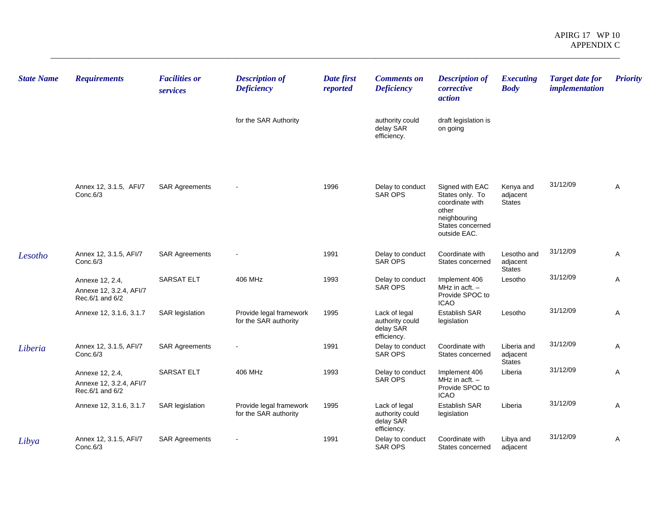| <b>State Name</b> | <b>Requirements</b>                                           | <b>Facilities or</b><br>services | <b>Description of</b><br><b>Deficiency</b>       | Date first<br>reported | <b>Comments on</b><br><b>Deficiency</b>                      | <b>Description of</b><br>corrective<br>action                                                      | <b>Executing</b><br><b>Body</b>          | <b>Target date for</b><br><i>implementation</i> | <b>Priority</b> |
|-------------------|---------------------------------------------------------------|----------------------------------|--------------------------------------------------|------------------------|--------------------------------------------------------------|----------------------------------------------------------------------------------------------------|------------------------------------------|-------------------------------------------------|-----------------|
|                   |                                                               |                                  | for the SAR Authority                            |                        | authority could<br>delay SAR<br>efficiency.                  | draft legislation is<br>on going                                                                   |                                          |                                                 |                 |
|                   | Annex 12, 3.1.5, AFI/7<br>Conc.6/3                            | <b>SAR Agreements</b>            |                                                  | 1996                   | Delay to conduct<br><b>SAR OPS</b>                           | Signed with EAC<br>States only. To<br>coordinate with<br>other<br>neighbouring<br>States concerned | Kenya and<br>adjacent<br><b>States</b>   | 31/12/09                                        | A               |
| Lesotho           | Annex 12, 3.1.5, AFI/7<br>Conc.6/3                            | <b>SAR Agreements</b>            |                                                  | 1991                   | Delay to conduct<br><b>SAR OPS</b>                           | outside EAC.<br>Coordinate with<br>States concerned                                                | Lesotho and<br>adjacent<br><b>States</b> | 31/12/09                                        | A               |
|                   | Annexe 12, 2.4,<br>Annexe 12, 3.2.4, AFI/7<br>Rec.6/1 and 6/2 | <b>SARSAT ELT</b>                | 406 MHz                                          | 1993                   | Delay to conduct<br><b>SAR OPS</b>                           | Implement 406<br>MHz in acft. $-$<br>Provide SPOC to<br><b>ICAO</b>                                | Lesotho                                  | 31/12/09                                        | Α               |
|                   | Annexe 12, 3.1.6, 3.1.7                                       | <b>SAR legislation</b>           | Provide legal framework<br>for the SAR authority | 1995                   | Lack of legal<br>authority could<br>delay SAR<br>efficiency. | Establish SAR<br>legislation                                                                       | Lesotho                                  | 31/12/09                                        | Α               |
| Liberia           | Annex 12, 3.1.5, AFI/7<br>Conc.6/3                            | <b>SAR Agreements</b>            |                                                  | 1991                   | Delay to conduct<br><b>SAR OPS</b>                           | Coordinate with<br>States concerned                                                                | Liberia and<br>adjacent<br><b>States</b> | 31/12/09                                        | Α               |
|                   | Annexe 12, 2.4,<br>Annexe 12, 3.2.4, AFI/7<br>Rec.6/1 and 6/2 | <b>SARSAT ELT</b>                | 406 MHz                                          | 1993                   | Delay to conduct<br><b>SAR OPS</b>                           | Implement 406<br>MHz in $act. -$<br>Provide SPOC to<br><b>ICAO</b>                                 | Liberia                                  | 31/12/09                                        | A               |
|                   | Annexe 12, 3.1.6, 3.1.7                                       | <b>SAR</b> legislation           | Provide legal framework<br>for the SAR authority | 1995                   | Lack of legal<br>authority could<br>delay SAR<br>efficiency. | <b>Establish SAR</b><br>legislation                                                                | Liberia                                  | 31/12/09                                        | A               |
| Libya             | Annex 12, 3.1.5, AFI/7<br>Conc.6/3                            | <b>SAR Agreements</b>            |                                                  | 1991                   | Delay to conduct<br><b>SAR OPS</b>                           | Coordinate with<br>States concerned                                                                | Libya and<br>adjacent                    | 31/12/09                                        | A               |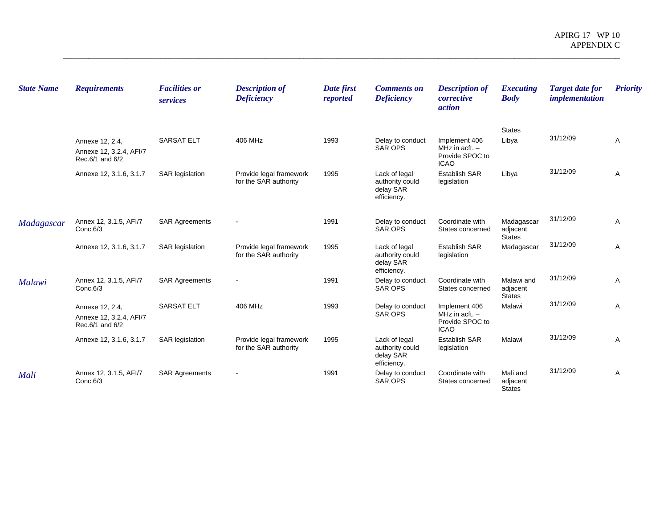| <b>State Name</b> | <b>Requirements</b>                                           | <b>Facilities or</b><br>services | <b>Description of</b><br><b>Deficiency</b>       | Date first<br>reported | <b>Comments on</b><br><b>Deficiency</b>                      | <b>Description of</b><br>corrective<br><i>action</i>                | <b>Executing</b><br><b>Body</b>         | <b>Target date for</b><br><i>implementation</i> | <b>Priority</b> |
|-------------------|---------------------------------------------------------------|----------------------------------|--------------------------------------------------|------------------------|--------------------------------------------------------------|---------------------------------------------------------------------|-----------------------------------------|-------------------------------------------------|-----------------|
|                   | Annexe 12, 2.4,<br>Annexe 12, 3.2.4, AFI/7<br>Rec.6/1 and 6/2 | <b>SARSAT ELT</b>                | 406 MHz                                          | 1993                   | Delay to conduct<br>SAR OPS                                  | Implement 406<br>MHz in acft. $-$<br>Provide SPOC to<br><b>ICAO</b> | <b>States</b><br>Libya                  | 31/12/09                                        | A               |
|                   | Annexe 12, 3.1.6, 3.1.7                                       | <b>SAR</b> legislation           | Provide legal framework<br>for the SAR authority | 1995                   | Lack of legal<br>authority could<br>delay SAR<br>efficiency. | <b>Establish SAR</b><br>legislation                                 | Libya                                   | 31/12/09                                        | Α               |
| Madagascar        | Annex 12, 3.1.5, AFI/7<br>Conc.6/3                            | <b>SAR Agreements</b>            |                                                  | 1991                   | Delay to conduct<br>SAR OPS                                  | Coordinate with<br>States concerned                                 | Madagascar<br>adjacent<br><b>States</b> | 31/12/09                                        | A               |
|                   | Annexe 12, 3.1.6, 3.1.7                                       | <b>SAR</b> legislation           | Provide legal framework<br>for the SAR authority | 1995                   | Lack of legal<br>authority could<br>delay SAR<br>efficiency. | <b>Establish SAR</b><br>legislation                                 | Madagascar                              | 31/12/09                                        | Α               |
| <b>Malawi</b>     | Annex 12, 3.1.5, AFI/7<br>Conc.6/3                            | <b>SAR Agreements</b>            |                                                  | 1991                   | Delay to conduct<br>SAR OPS                                  | Coordinate with<br>States concerned                                 | Malawi and<br>adjacent<br><b>States</b> | 31/12/09                                        | Α               |
|                   | Annexe 12, 2.4,<br>Annexe 12, 3.2.4, AFI/7<br>Rec.6/1 and 6/2 | <b>SARSAT ELT</b>                | 406 MHz                                          | 1993                   | Delay to conduct<br><b>SAR OPS</b>                           | Implement 406<br>MHz in acft. $-$<br>Provide SPOC to<br><b>ICAO</b> | Malawi                                  | 31/12/09                                        | A               |
|                   | Annexe 12, 3.1.6, 3.1.7                                       | <b>SAR</b> legislation           | Provide legal framework<br>for the SAR authority | 1995                   | Lack of legal<br>authority could<br>delay SAR<br>efficiency. | <b>Establish SAR</b><br>legislation                                 | Malawi                                  | 31/12/09                                        | Α               |
| Mali              | Annex 12, 3.1.5, AFI/7<br>Conc.6/3                            | <b>SAR Agreements</b>            |                                                  | 1991                   | Delay to conduct<br><b>SAR OPS</b>                           | Coordinate with<br>States concerned                                 | Mali and<br>adjacent<br><b>States</b>   | 31/12/09                                        | Α               |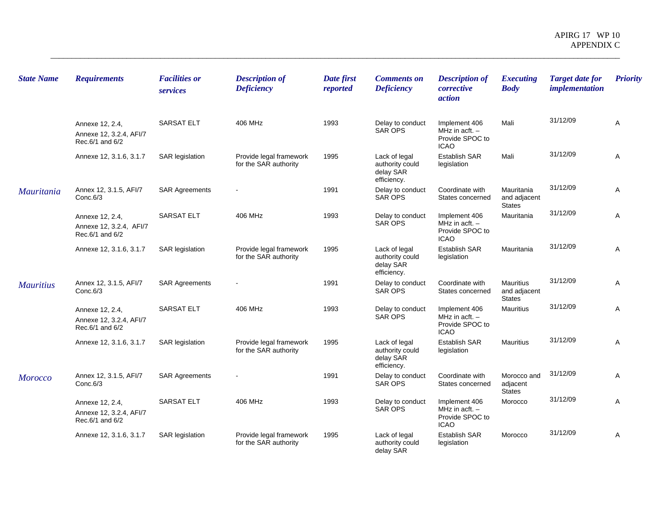| <b>State Name</b> | <b>Requirements</b>                                           | <b>Facilities or</b><br>services | <b>Description of</b><br><b>Deficiency</b>       | Date first<br>reported | <b>Comments on</b><br><b>Deficiency</b>                      | <b>Description of</b><br>corrective<br>action                       | <b>Executing</b><br><b>Body</b>             | <b>Target date for</b><br><i>implementation</i> | <b>Priority</b> |
|-------------------|---------------------------------------------------------------|----------------------------------|--------------------------------------------------|------------------------|--------------------------------------------------------------|---------------------------------------------------------------------|---------------------------------------------|-------------------------------------------------|-----------------|
|                   | Annexe 12, 2.4,<br>Annexe 12, 3.2.4, AFI/7<br>Rec.6/1 and 6/2 | <b>SARSAT ELT</b>                | 406 MHz                                          | 1993                   | Delay to conduct<br><b>SAR OPS</b>                           | Implement 406<br>MHz in $actt.$ -<br>Provide SPOC to<br><b>ICAO</b> | Mali                                        | 31/12/09                                        | A               |
|                   | Annexe 12, 3.1.6, 3.1.7                                       | <b>SAR legislation</b>           | Provide legal framework<br>for the SAR authority | 1995                   | Lack of legal<br>authority could<br>delay SAR<br>efficiency. | Establish SAR<br>legislation                                        | Mali                                        | 31/12/09                                        | Α               |
| <i>Mauritania</i> | Annex 12, 3.1.5, AFI/7<br>Conc.6/3                            | <b>SAR Agreements</b>            |                                                  | 1991                   | Delay to conduct<br><b>SAR OPS</b>                           | Coordinate with<br>States concerned                                 | Mauritania<br>and adjacent<br><b>States</b> | 31/12/09                                        | Α               |
|                   | Annexe 12, 2.4,<br>Annexe 12, 3.2.4, AFI/7<br>Rec.6/1 and 6/2 | <b>SARSAT ELT</b>                | 406 MHz                                          | 1993                   | Delay to conduct<br><b>SAR OPS</b>                           | Implement 406<br>MHz in acft. $-$<br>Provide SPOC to<br><b>ICAO</b> | Mauritania                                  | 31/12/09                                        | Α               |
|                   | Annexe 12, 3.1.6, 3.1.7                                       | <b>SAR</b> legislation           | Provide legal framework<br>for the SAR authority | 1995                   | Lack of legal<br>authority could<br>delay SAR<br>efficiency. | Establish SAR<br>legislation                                        | Mauritania                                  | 31/12/09                                        | Α               |
| <b>Mauritius</b>  | Annex 12, 3.1.5, AFI/7<br>Conc.6/3                            | <b>SAR Agreements</b>            |                                                  | 1991                   | Delay to conduct<br><b>SAR OPS</b>                           | Coordinate with<br>States concerned                                 | Mauritius<br>and adjacent<br><b>States</b>  | 31/12/09                                        | A               |
|                   | Annexe 12, 2.4,<br>Annexe 12, 3.2.4, AFI/7<br>Rec.6/1 and 6/2 | <b>SARSAT ELT</b>                | 406 MHz                                          | 1993                   | Delay to conduct<br><b>SAR OPS</b>                           | Implement 406<br>MHz in acft. $-$<br>Provide SPOC to<br><b>ICAO</b> | <b>Mauritius</b>                            | 31/12/09                                        | Α               |
|                   | Annexe 12, 3.1.6, 3.1.7                                       | <b>SAR</b> legislation           | Provide legal framework<br>for the SAR authority | 1995                   | Lack of legal<br>authority could<br>delay SAR<br>efficiency. | Establish SAR<br>legislation                                        | <b>Mauritius</b>                            | 31/12/09                                        | Α               |
| <b>Morocco</b>    | Annex 12, 3.1.5, AFI/7<br>Conc.6/3                            | <b>SAR Agreements</b>            |                                                  | 1991                   | Delay to conduct<br><b>SAR OPS</b>                           | Coordinate with<br>States concerned                                 | Morocco and<br>adjacent<br><b>States</b>    | 31/12/09                                        | A               |
|                   | Annexe 12, 2.4,<br>Annexe 12, 3.2.4, AFI/7<br>Rec.6/1 and 6/2 | <b>SARSAT ELT</b>                | 406 MHz                                          | 1993                   | Delay to conduct<br>SAR OPS                                  | Implement 406<br>MHz in acft. $-$<br>Provide SPOC to<br><b>ICAO</b> | Morocco                                     | 31/12/09                                        | Α               |
|                   | Annexe 12, 3.1.6, 3.1.7                                       | <b>SAR</b> legislation           | Provide legal framework<br>for the SAR authority | 1995                   | Lack of legal<br>authority could<br>delay SAR                | Establish SAR<br>legislation                                        | Morocco                                     | 31/12/09                                        | Α               |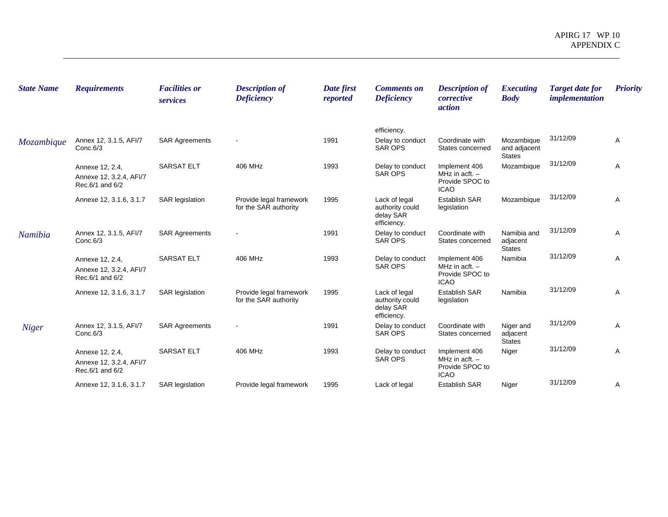| <b>State Name</b> | <b>Requirements</b>                                           | <b>Facilities or</b><br>services | <b>Description of</b><br><b>Deficiency</b>       | Date first<br>reported | <b>Comments on</b><br><b>Deficiency</b>                      | <b>Description of</b><br>corrective<br>action                       | <b>Executing</b><br><b>Body</b>             | <b>Target date for</b><br><i>implementation</i> | <b>Priority</b> |
|-------------------|---------------------------------------------------------------|----------------------------------|--------------------------------------------------|------------------------|--------------------------------------------------------------|---------------------------------------------------------------------|---------------------------------------------|-------------------------------------------------|-----------------|
|                   |                                                               |                                  |                                                  |                        | efficiency.                                                  |                                                                     |                                             |                                                 |                 |
| Mozambique        | Annex 12, 3.1.5, AFI/7<br>Conc.6/3                            | <b>SAR Agreements</b>            |                                                  | 1991                   | Delay to conduct<br><b>SAR OPS</b>                           | Coordinate with<br>States concerned                                 | Mozambique<br>and adjacent<br><b>States</b> | 31/12/09                                        | Α               |
|                   | Annexe 12, 2.4,<br>Annexe 12, 3.2.4, AFI/7<br>Rec.6/1 and 6/2 | <b>SARSAT ELT</b>                | 406 MHz                                          | 1993                   | Delay to conduct<br><b>SAR OPS</b>                           | Implement 406<br>MHz in acft. $-$<br>Provide SPOC to<br><b>ICAO</b> | Mozambique                                  | 31/12/09                                        | Α               |
|                   | Annexe 12, 3.1.6, 3.1.7                                       | <b>SAR</b> legislation           | Provide legal framework<br>for the SAR authority | 1995                   | Lack of legal<br>authority could<br>delay SAR<br>efficiency. | <b>Establish SAR</b><br>legislation                                 | Mozambique                                  | 31/12/09                                        | Α               |
| Namibia           | Annex 12, 3.1.5, AFI/7<br>Conc.6/3                            | <b>SAR Agreements</b>            |                                                  | 1991                   | Delay to conduct<br><b>SAR OPS</b>                           | Coordinate with<br>States concerned                                 | Namibia and<br>adjacent<br><b>States</b>    | 31/12/09                                        | Α               |
|                   | Annexe 12, 2.4,<br>Annexe 12, 3.2.4, AFI/7<br>Rec.6/1 and 6/2 | <b>SARSAT ELT</b>                | 406 MHz                                          | 1993                   | Delay to conduct<br><b>SAR OPS</b>                           | Implement 406<br>MHz in $actt.$ -<br>Provide SPOC to<br><b>ICAO</b> | Namibia                                     | 31/12/09                                        | A               |
|                   | Annexe 12, 3.1.6, 3.1.7                                       | <b>SAR</b> legislation           | Provide legal framework<br>for the SAR authority | 1995                   | Lack of legal<br>authority could<br>delay SAR<br>efficiency. | <b>Establish SAR</b><br>legislation                                 | Namibia                                     | 31/12/09                                        | A               |
| <b>Niger</b>      | Annex 12, 3.1.5, AFI/7<br>Conc.6/3                            | <b>SAR Agreements</b>            |                                                  | 1991                   | Delay to conduct<br><b>SAR OPS</b>                           | Coordinate with<br>States concerned                                 | Niger and<br>adjacent<br><b>States</b>      | 31/12/09                                        | A               |
|                   | Annexe 12, 2.4,<br>Annexe 12, 3.2.4, AFI/7<br>Rec.6/1 and 6/2 | <b>SARSAT ELT</b>                | 406 MHz                                          | 1993                   | Delay to conduct<br><b>SAR OPS</b>                           | Implement 406<br>MHz in acft. $-$<br>Provide SPOC to<br><b>ICAO</b> | Niger                                       | 31/12/09                                        | Α               |
|                   | Annexe 12, 3.1.6, 3.1.7                                       | <b>SAR</b> legislation           | Provide legal framework                          | 1995                   | Lack of legal                                                | <b>Establish SAR</b>                                                | Niger                                       | 31/12/09                                        | Α               |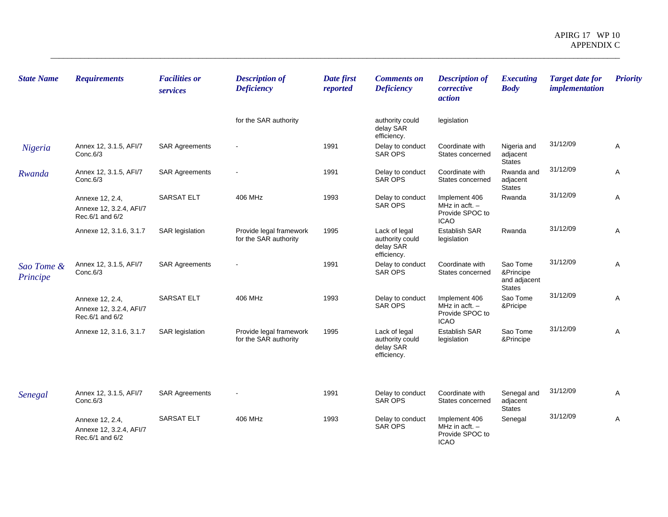| <b>State Name</b>      | <b>Requirements</b>                                           | <b>Facilities or</b><br>services | <b>Description of</b><br><b>Deficiency</b>       | Date first<br>reported | <b>Comments on</b><br><b>Deficiency</b>                      | <b>Description of</b><br>corrective<br>action                       | <b>Executing</b><br><b>Body</b>                        | <b>Target date for</b><br><i>implementation</i> | <b>Priority</b> |
|------------------------|---------------------------------------------------------------|----------------------------------|--------------------------------------------------|------------------------|--------------------------------------------------------------|---------------------------------------------------------------------|--------------------------------------------------------|-------------------------------------------------|-----------------|
|                        |                                                               |                                  | for the SAR authority                            |                        | authority could<br>delay SAR<br>efficiency.                  | legislation                                                         |                                                        |                                                 |                 |
| Nigeria                | Annex 12, 3.1.5, AFI/7<br>Conc.6/3                            | <b>SAR Agreements</b>            | $\overline{\phantom{a}}$                         | 1991                   | Delay to conduct<br><b>SAR OPS</b>                           | Coordinate with<br>States concerned                                 | Nigeria and<br>adjacent<br><b>States</b>               | 31/12/09                                        | Α               |
| Rwanda                 | Annex 12, 3.1.5, AFI/7<br>Conc.6/3                            | <b>SAR Agreements</b>            |                                                  | 1991                   | Delay to conduct<br><b>SAR OPS</b>                           | Coordinate with<br>States concerned                                 | Rwanda and<br>adjacent<br><b>States</b>                | 31/12/09                                        | A               |
|                        | Annexe 12, 2.4,<br>Annexe 12, 3.2.4, AFI/7<br>Rec.6/1 and 6/2 | <b>SARSAT ELT</b>                | 406 MHz                                          | 1993                   | Delay to conduct<br><b>SAR OPS</b>                           | Implement 406<br>MHz in acft. $-$<br>Provide SPOC to<br><b>ICAO</b> | Rwanda                                                 | 31/12/09                                        | Α               |
|                        | Annexe 12, 3.1.6, 3.1.7                                       | <b>SAR</b> legislation           | Provide legal framework<br>for the SAR authority | 1995                   | Lack of legal<br>authority could<br>delay SAR<br>efficiency. | Establish SAR<br>legislation                                        | Rwanda                                                 | 31/12/09                                        | Α               |
| Sao Tome &<br>Principe | Annex 12, 3.1.5, AFI/7<br>Conc.6/3                            | <b>SAR Agreements</b>            |                                                  | 1991                   | Delay to conduct<br>SAR OPS                                  | Coordinate with<br>States concerned                                 | Sao Tome<br>&Principe<br>and adjacent<br><b>States</b> | 31/12/09                                        | A               |
|                        | Annexe 12, 2.4,<br>Annexe 12, 3.2.4, AFI/7<br>Rec.6/1 and 6/2 | <b>SARSAT ELT</b>                | 406 MHz                                          | 1993                   | Delay to conduct<br><b>SAR OPS</b>                           | Implement 406<br>MHz in acft. $-$<br>Provide SPOC to<br><b>ICAO</b> | Sao Tome<br>&Pricipe                                   | 31/12/09                                        | Α               |
|                        | Annexe 12, 3.1.6, 3.1.7                                       | <b>SAR legislation</b>           | Provide legal framework<br>for the SAR authority | 1995                   | Lack of legal<br>authority could<br>delay SAR<br>efficiency. | <b>Establish SAR</b><br>legislation                                 | Sao Tome<br>&Principe                                  | 31/12/09                                        | Α               |
| Senegal                | Annex 12, 3.1.5, AFI/7<br>Conc.6/3                            | <b>SAR Agreements</b>            |                                                  | 1991                   | Delay to conduct<br><b>SAR OPS</b>                           | Coordinate with<br>States concerned                                 | Senegal and<br>adjacent<br><b>States</b>               | 31/12/09                                        | Α               |
|                        | Annexe 12, 2.4,<br>Annexe 12, 3.2.4, AFI/7<br>Rec.6/1 and 6/2 | <b>SARSAT ELT</b>                | 406 MHz                                          | 1993                   | Delay to conduct<br><b>SAR OPS</b>                           | Implement 406<br>MHz in acft. $-$<br>Provide SPOC to<br><b>ICAO</b> | Senegal                                                | 31/12/09                                        | Α               |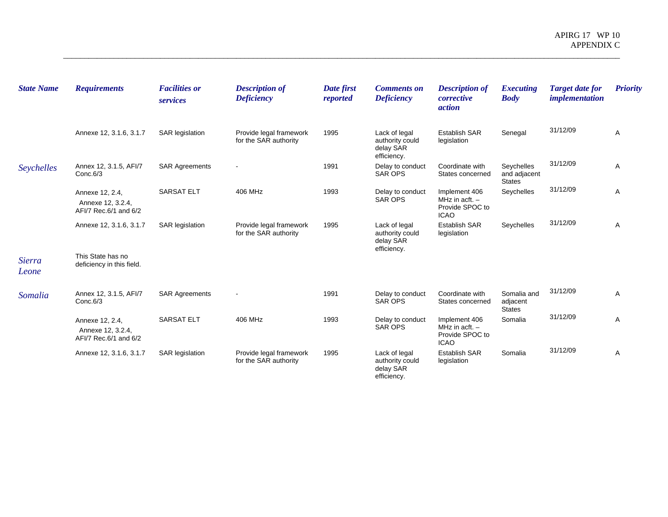| <b>State Name</b>      | <b>Requirements</b>                                           | <b>Facilities or</b><br>services | <b>Description of</b><br><b>Deficiency</b>       | Date first<br>reported | <b>Comments on</b><br><b>Deficiency</b>                      | <b>Description of</b><br>corrective<br>action                       | <b>Executing</b><br><b>Body</b>             | <b>Target date for</b><br><i>implementation</i> | <b>Priority</b> |
|------------------------|---------------------------------------------------------------|----------------------------------|--------------------------------------------------|------------------------|--------------------------------------------------------------|---------------------------------------------------------------------|---------------------------------------------|-------------------------------------------------|-----------------|
|                        | Annexe 12, 3.1.6, 3.1.7                                       | <b>SAR</b> legislation           | Provide legal framework<br>for the SAR authority | 1995                   | Lack of legal<br>authority could<br>delay SAR<br>efficiency. | <b>Establish SAR</b><br>legislation                                 | Senegal                                     | 31/12/09                                        | A               |
| Seychelles             | Annex 12, 3.1.5, AFI/7<br>Conc.6/3                            | <b>SAR Agreements</b>            | $\overline{\phantom{a}}$                         | 1991                   | Delay to conduct<br><b>SAR OPS</b>                           | Coordinate with<br>States concerned                                 | Seychelles<br>and adjacent<br><b>States</b> | 31/12/09                                        | Α               |
|                        | Annexe 12, 2.4,<br>Annexe 12, 3.2.4,<br>AFI/7 Rec.6/1 and 6/2 | <b>SARSAT ELT</b>                | 406 MHz                                          | 1993                   | Delay to conduct<br><b>SAR OPS</b>                           | Implement 406<br>MHz in acft. $-$<br>Provide SPOC to<br><b>ICAO</b> | Seychelles                                  | 31/12/09                                        | A               |
|                        | Annexe 12, 3.1.6, 3.1.7                                       | <b>SAR</b> legislation           | Provide legal framework<br>for the SAR authority | 1995                   | Lack of legal<br>authority could<br>delay SAR<br>efficiency. | <b>Establish SAR</b><br>legislation                                 | Seychelles                                  | 31/12/09                                        | Α               |
| <b>Sierra</b><br>Leone | This State has no<br>deficiency in this field.                |                                  |                                                  |                        |                                                              |                                                                     |                                             |                                                 |                 |
| Somalia                | Annex 12, 3.1.5, AFI/7<br>Conc.6/3                            | <b>SAR Agreements</b>            | $\overline{\phantom{a}}$                         | 1991                   | Delay to conduct<br><b>SAR OPS</b>                           | Coordinate with<br>States concerned                                 | Somalia and<br>adjacent<br><b>States</b>    | 31/12/09                                        | A               |
|                        | Annexe 12, 2.4,<br>Annexe 12, 3.2.4,<br>AFI/7 Rec.6/1 and 6/2 | <b>SARSAT ELT</b>                | 406 MHz                                          | 1993                   | Delay to conduct<br><b>SAR OPS</b>                           | Implement 406<br>MHz in acft. $-$<br>Provide SPOC to<br><b>ICAO</b> | Somalia                                     | 31/12/09                                        | Α               |
|                        | Annexe 12, 3.1.6, 3.1.7                                       | <b>SAR</b> legislation           | Provide legal framework<br>for the SAR authority | 1995                   | Lack of legal<br>authority could<br>delay SAR<br>efficiency. | <b>Establish SAR</b><br>legislation                                 | Somalia                                     | 31/12/09                                        | A               |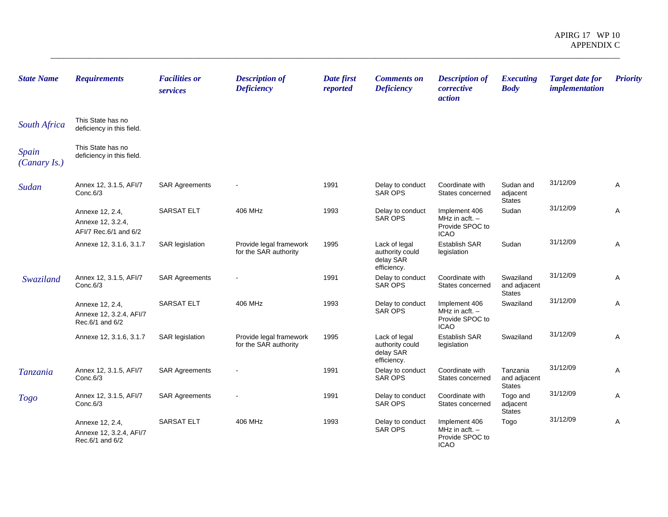| <b>State Name</b>     | <b>Requirements</b>                                           | <b>Facilities or</b><br>services | <b>Description of</b><br><b>Deficiency</b>       | Date first<br>reported | <b>Comments on</b><br><b>Deficiency</b>                      | <b>Description of</b><br>corrective<br>action                       | <b>Executing</b><br><b>Body</b>            | <b>Target date for</b><br><i>implementation</i> | <b>Priority</b> |
|-----------------------|---------------------------------------------------------------|----------------------------------|--------------------------------------------------|------------------------|--------------------------------------------------------------|---------------------------------------------------------------------|--------------------------------------------|-------------------------------------------------|-----------------|
| <b>South Africa</b>   | This State has no<br>deficiency in this field.                |                                  |                                                  |                        |                                                              |                                                                     |                                            |                                                 |                 |
| Spain<br>(Canary Is.) | This State has no<br>deficiency in this field.                |                                  |                                                  |                        |                                                              |                                                                     |                                            |                                                 |                 |
| Sudan                 | Annex 12, 3.1.5, AFI/7<br>Conc.6/3                            | <b>SAR Agreements</b>            |                                                  | 1991                   | Delay to conduct<br><b>SAR OPS</b>                           | Coordinate with<br>States concerned                                 | Sudan and<br>adjacent<br><b>States</b>     | 31/12/09                                        | A               |
|                       | Annexe 12, 2.4,<br>Annexe 12, 3.2.4,<br>AFI/7 Rec.6/1 and 6/2 | <b>SARSAT ELT</b>                | 406 MHz                                          | 1993                   | Delay to conduct<br><b>SAR OPS</b>                           | Implement 406<br>MHz in acft. -<br>Provide SPOC to<br><b>ICAO</b>   | Sudan                                      | 31/12/09                                        | A               |
|                       | Annexe 12, 3.1.6, 3.1.7                                       | <b>SAR</b> legislation           | Provide legal framework<br>for the SAR authority | 1995                   | Lack of legal<br>authority could<br>delay SAR<br>efficiency. | Establish SAR<br>legislation                                        | Sudan                                      | 31/12/09                                        | A               |
| Swaziland             | Annex 12, 3.1.5, AFI/7<br>Conc.6/3                            | <b>SAR Agreements</b>            |                                                  | 1991                   | Delay to conduct<br><b>SAR OPS</b>                           | Coordinate with<br>States concerned                                 | Swaziland<br>and adjacent<br><b>States</b> | 31/12/09                                        | Α               |
|                       | Annexe 12, 2.4,<br>Annexe 12, 3.2.4, AFI/7<br>Rec.6/1 and 6/2 | <b>SARSAT ELT</b>                | 406 MHz                                          | 1993                   | Delay to conduct<br><b>SAR OPS</b>                           | Implement 406<br>MHz in acft. $-$<br>Provide SPOC to<br><b>ICAO</b> | Swaziland                                  | 31/12/09                                        | Α               |
|                       | Annexe 12, 3.1.6, 3.1.7                                       | <b>SAR</b> legislation           | Provide legal framework<br>for the SAR authority | 1995                   | Lack of legal<br>authority could<br>delay SAR<br>efficiency. | <b>Establish SAR</b><br>legislation                                 | Swaziland                                  | 31/12/09                                        | A               |
| <b>Tanzania</b>       | Annex 12, 3.1.5, AFI/7<br>Conc.6/3                            | <b>SAR Agreements</b>            |                                                  | 1991                   | Delay to conduct<br>SAR OPS                                  | Coordinate with<br>States concerned                                 | Tanzania<br>and adjacent<br><b>States</b>  | 31/12/09                                        | Α               |
| <b>Togo</b>           | Annex 12, 3.1.5, AFI/7<br>Conc.6/3                            | <b>SAR Agreements</b>            |                                                  | 1991                   | Delay to conduct<br>SAR OPS                                  | Coordinate with<br>States concerned                                 | Togo and<br>adjacent<br><b>States</b>      | 31/12/09                                        | Α               |
|                       | Annexe 12, 2.4,<br>Annexe 12, 3.2.4, AFI/7<br>Rec.6/1 and 6/2 | <b>SARSAT ELT</b>                | 406 MHz                                          | 1993                   | Delay to conduct<br><b>SAR OPS</b>                           | Implement 406<br>MHz in acft. $-$<br>Provide SPOC to<br><b>ICAO</b> | Togo                                       | 31/12/09                                        | Α               |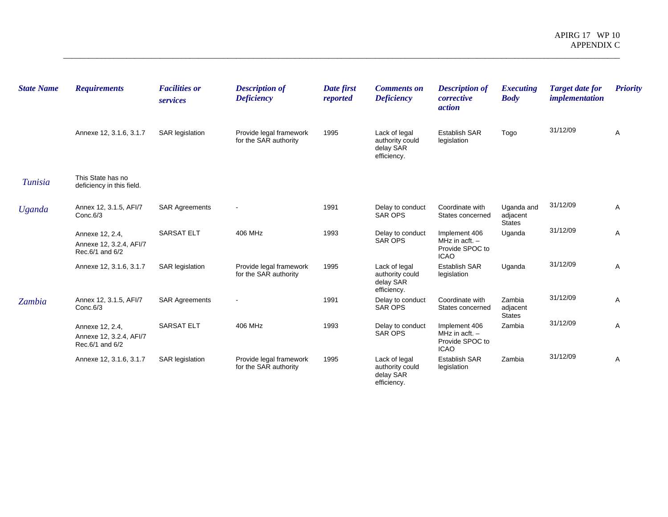| <b>State Name</b> | <b>Requirements</b>                                           | <b>Facilities or</b><br>services | <b>Description of</b><br><b>Deficiency</b>       | Date first<br>reported | <b>Comments on</b><br><b>Deficiency</b>                      | <b>Description of</b><br>corrective<br><i>action</i>                    | <b>Executing</b><br><b>Body</b>         | <b>Target date for</b><br><i>implementation</i> | <b>Priority</b> |
|-------------------|---------------------------------------------------------------|----------------------------------|--------------------------------------------------|------------------------|--------------------------------------------------------------|-------------------------------------------------------------------------|-----------------------------------------|-------------------------------------------------|-----------------|
|                   | Annexe 12, 3.1.6, 3.1.7                                       | <b>SAR legislation</b>           | Provide legal framework<br>for the SAR authority | 1995                   | Lack of legal<br>authority could<br>delay SAR<br>efficiency. | <b>Establish SAR</b><br>legislation                                     | Togo                                    | 31/12/09                                        | Α               |
| <b>Tunisia</b>    | This State has no<br>deficiency in this field.                |                                  |                                                  |                        |                                                              |                                                                         |                                         |                                                 |                 |
| <b>Uganda</b>     | Annex 12, 3.1.5, AFI/7<br>Conc.6/3                            | <b>SAR Agreements</b>            |                                                  | 1991                   | Delay to conduct<br>SAR OPS                                  | Coordinate with<br>States concerned                                     | Uganda and<br>adjacent<br><b>States</b> | 31/12/09                                        | $\overline{A}$  |
|                   | Annexe 12, 2.4,<br>Annexe 12, 3.2.4, AFI/7<br>Rec.6/1 and 6/2 | <b>SARSAT ELT</b>                | 406 MHz                                          | 1993                   | Delay to conduct<br><b>SAR OPS</b>                           | Implement 406<br>MHz in acft. $-$<br>Provide SPOC to<br><b>ICAO</b>     | Uganda                                  | 31/12/09                                        | Α               |
|                   | Annexe 12, 3.1.6, 3.1.7                                       | <b>SAR legislation</b>           | Provide legal framework<br>for the SAR authority | 1995                   | Lack of legal<br>authority could<br>delay SAR<br>efficiency. | <b>Establish SAR</b><br>legislation                                     | Uganda                                  | 31/12/09                                        | Α               |
| Zambia            | Annex 12, 3.1.5, AFI/7<br>Conc.6/3                            | <b>SAR Agreements</b>            | $\overline{\phantom{a}}$                         | 1991                   | Delay to conduct<br>SAR OPS                                  | Coordinate with<br>States concerned                                     | Zambia<br>adjacent<br><b>States</b>     | 31/12/09                                        | A               |
|                   | Annexe 12, 2.4,<br>Annexe 12, 3.2.4, AFI/7<br>Rec.6/1 and 6/2 | <b>SARSAT ELT</b>                | 406 MHz                                          | 1993                   | Delay to conduct<br>SAR OPS                                  | Implement 406<br>MHz in $\arctan$ . -<br>Provide SPOC to<br><b>ICAO</b> | Zambia                                  | 31/12/09                                        | A               |
|                   | Annexe 12, 3.1.6, 3.1.7                                       | <b>SAR legislation</b>           | Provide legal framework<br>for the SAR authority | 1995                   | Lack of legal<br>authority could<br>delay SAR<br>efficiency. | <b>Establish SAR</b><br>legislation                                     | Zambia                                  | 31/12/09                                        | Α               |